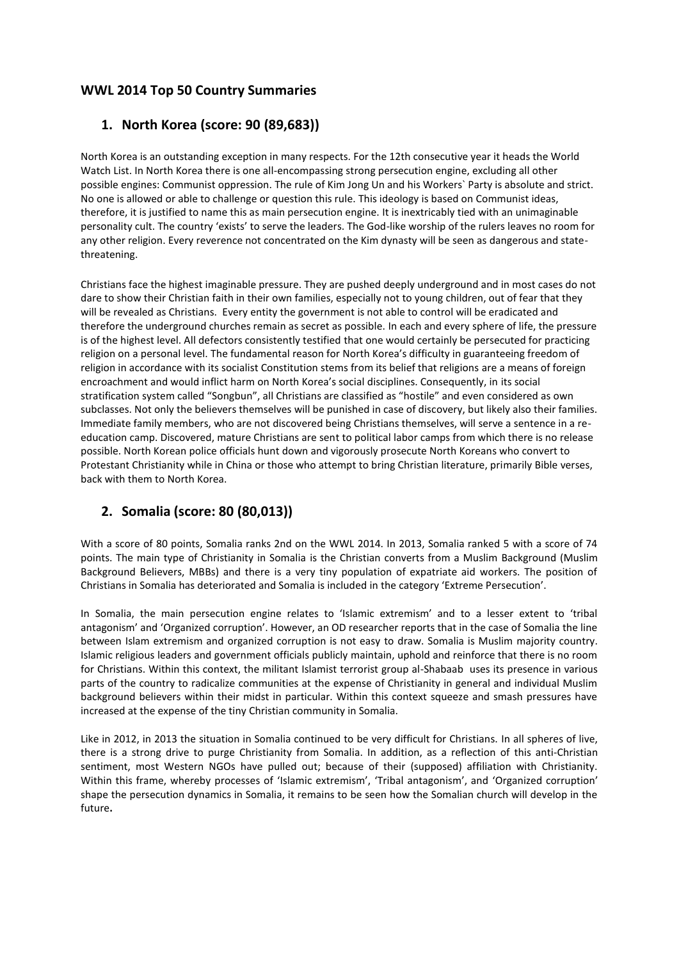#### **WWL 2014 Top 50 Country Summaries**

#### **1. North Korea (score: 90 (89,683))**

North Korea is an outstanding exception in many respects. For the 12th consecutive year it heads the World Watch List. In North Korea there is one all-encompassing strong persecution engine, excluding all other possible engines: Communist oppression. The rule of Kim Jong Un and his Workers` Party is absolute and strict. No one is allowed or able to challenge or question this rule. This ideology is based on Communist ideas, therefore, it is justified to name this as main persecution engine. It is inextricably tied with an unimaginable personality cult. The country 'exists' to serve the leaders. The God-like worship of the rulers leaves no room for any other religion. Every reverence not concentrated on the Kim dynasty will be seen as dangerous and statethreatening.

Christians face the highest imaginable pressure. They are pushed deeply underground and in most cases do not dare to show their Christian faith in their own families, especially not to young children, out of fear that they will be revealed as Christians. Every entity the government is not able to control will be eradicated and therefore the underground churches remain as secret as possible. In each and every sphere of life, the pressure is of the highest level. All defectors consistently testified that one would certainly be persecuted for practicing religion on a personal level. The fundamental reason for North Korea's difficulty in guaranteeing freedom of religion in accordance with its socialist Constitution stems from its belief that religions are a means of foreign encroachment and would inflict harm on North Korea's social disciplines. Consequently, in its social stratification system called "Songbun", all Christians are classified as "hostile" and even considered as own subclasses. Not only the believers themselves will be punished in case of discovery, but likely also their families. Immediate family members, who are not discovered being Christians themselves, will serve a sentence in a reeducation camp. Discovered, mature Christians are sent to political labor camps from which there is no release possible. North Korean police officials hunt down and vigorously prosecute North Koreans who convert to Protestant Christianity while in China or those who attempt to bring Christian literature, primarily Bible verses, back with them to North Korea.

## **2. Somalia (score: 80 (80,013))**

With a score of 80 points, Somalia ranks 2nd on the WWL 2014. In 2013, Somalia ranked 5 with a score of 74 points. The main type of Christianity in Somalia is the Christian converts from a Muslim Background (Muslim Background Believers, MBBs) and there is a very tiny population of expatriate aid workers. The position of Christians in Somalia has deteriorated and Somalia is included in the category 'Extreme Persecution'.

In Somalia, the main persecution engine relates to 'Islamic extremism' and to a lesser extent to 'tribal antagonism' and 'Organized corruption'. However, an OD researcher reports that in the case of Somalia the line between Islam extremism and organized corruption is not easy to draw. Somalia is Muslim majority country. Islamic religious leaders and government officials publicly maintain, uphold and reinforce that there is no room for Christians. Within this context, the militant Islamist terrorist group al-Shabaab uses its presence in various parts of the country to radicalize communities at the expense of Christianity in general and individual Muslim background believers within their midst in particular. Within this context squeeze and smash pressures have increased at the expense of the tiny Christian community in Somalia.

Like in 2012, in 2013 the situation in Somalia continued to be very difficult for Christians. In all spheres of live, there is a strong drive to purge Christianity from Somalia. In addition, as a reflection of this anti-Christian sentiment, most Western NGOs have pulled out; because of their (supposed) affiliation with Christianity. Within this frame, whereby processes of 'Islamic extremism', 'Tribal antagonism', and 'Organized corruption' shape the persecution dynamics in Somalia, it remains to be seen how the Somalian church will develop in the future**.**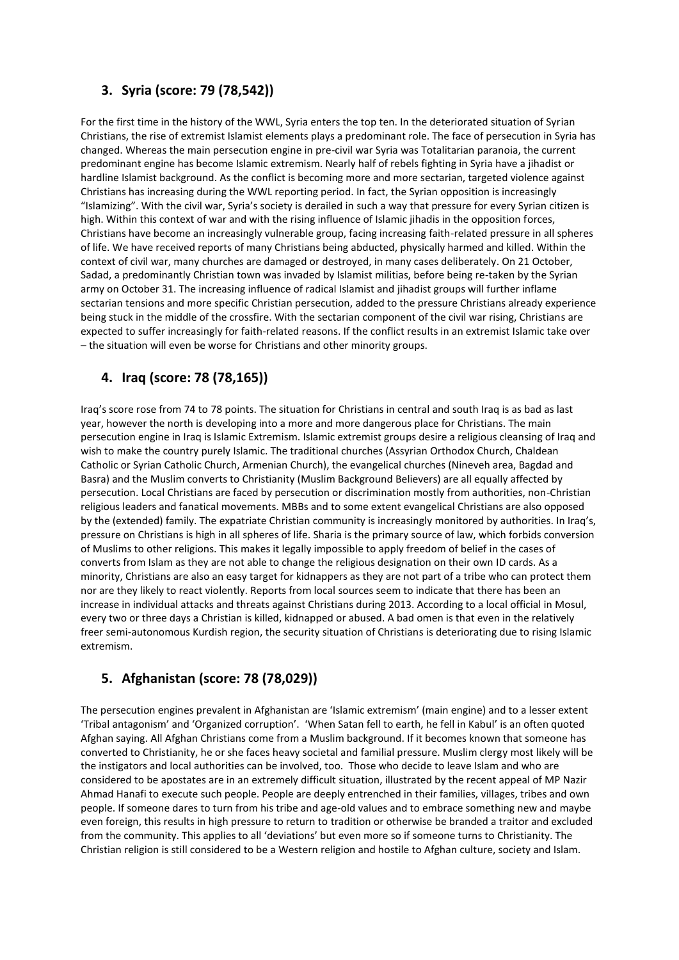## **3. Syria (score: 79 (78,542))**

For the first time in the history of the WWL, Syria enters the top ten. In the deteriorated situation of Syrian Christians, the rise of extremist Islamist elements plays a predominant role. The face of persecution in Syria has changed. Whereas the main persecution engine in pre-civil war Syria was Totalitarian paranoia, the current predominant engine has become Islamic extremism. Nearly half of rebels fighting in Syria have a jihadist or hardline Islamist background. As the conflict is becoming more and more sectarian, targeted violence against Christians has increasing during the WWL reporting period. In fact, the Syrian opposition is increasingly "Islamizing". With the civil war, Syria's society is derailed in such a way that pressure for every Syrian citizen is high. Within this context of war and with the rising influence of Islamic jihadis in the opposition forces, Christians have become an increasingly vulnerable group, facing increasing faith-related pressure in all spheres of life. We have received reports of many Christians being abducted, physically harmed and killed. Within the context of civil war, many churches are damaged or destroyed, in many cases deliberately. On 21 October, Sadad, a predominantly Christian town was invaded by Islamist militias, before being re-taken by the Syrian army on October 31. The increasing influence of radical Islamist and jihadist groups will further inflame sectarian tensions and more specific Christian persecution, added to the pressure Christians already experience being stuck in the middle of the crossfire. With the sectarian component of the civil war rising, Christians are expected to suffer increasingly for faith-related reasons. If the conflict results in an extremist Islamic take over – the situation will even be worse for Christians and other minority groups.

## **4. Iraq (score: 78 (78,165))**

Iraq's score rose from 74 to 78 points. The situation for Christians in central and south Iraq is as bad as last year, however the north is developing into a more and more dangerous place for Christians. The main persecution engine in Iraq is Islamic Extremism. Islamic extremist groups desire a religious cleansing of Iraq and wish to make the country purely Islamic. The traditional churches (Assyrian Orthodox Church, Chaldean Catholic or Syrian Catholic Church, Armenian Church), the evangelical churches (Nineveh area, Bagdad and Basra) and the Muslim converts to Christianity (Muslim Background Believers) are all equally affected by persecution. Local Christians are faced by persecution or discrimination mostly from authorities, non-Christian religious leaders and fanatical movements. MBBs and to some extent evangelical Christians are also opposed by the (extended) family. The expatriate Christian community is increasingly monitored by authorities. In Iraq's, pressure on Christians is high in all spheres of life. Sharia is the primary source of law, which forbids conversion of Muslims to other religions. This makes it legally impossible to apply freedom of belief in the cases of converts from Islam as they are not able to change the religious designation on their own ID cards. As a minority, Christians are also an easy target for kidnappers as they are not part of a tribe who can protect them nor are they likely to react violently. Reports from local sources seem to indicate that there has been an increase in individual attacks and threats against Christians during 2013. According to a local official in Mosul, every two or three days a Christian is killed, kidnapped or abused. A bad omen is that even in the relatively freer semi-autonomous Kurdish region, the security situation of Christians is deteriorating due to rising Islamic extremism.

## **5. Afghanistan (score: 78 (78,029))**

The persecution engines prevalent in Afghanistan are 'Islamic extremism' (main engine) and to a lesser extent 'Tribal antagonism' and 'Organized corruption'. 'When Satan fell to earth, he fell in Kabul' is an often quoted Afghan saying. All Afghan Christians come from a Muslim background. If it becomes known that someone has converted to Christianity, he or she faces heavy societal and familial pressure. Muslim clergy most likely will be the instigators and local authorities can be involved, too. Those who decide to leave Islam and who are considered to be apostates are in an extremely difficult situation, illustrated by the recent appeal of MP Nazir Ahmad Hanafi to execute such people. People are deeply entrenched in their families, villages, tribes and own people. If someone dares to turn from his tribe and age-old values and to embrace something new and maybe even foreign, this results in high pressure to return to tradition or otherwise be branded a traitor and excluded from the community. This applies to all 'deviations' but even more so if someone turns to Christianity. The Christian religion is still considered to be a Western religion and hostile to Afghan culture, society and Islam.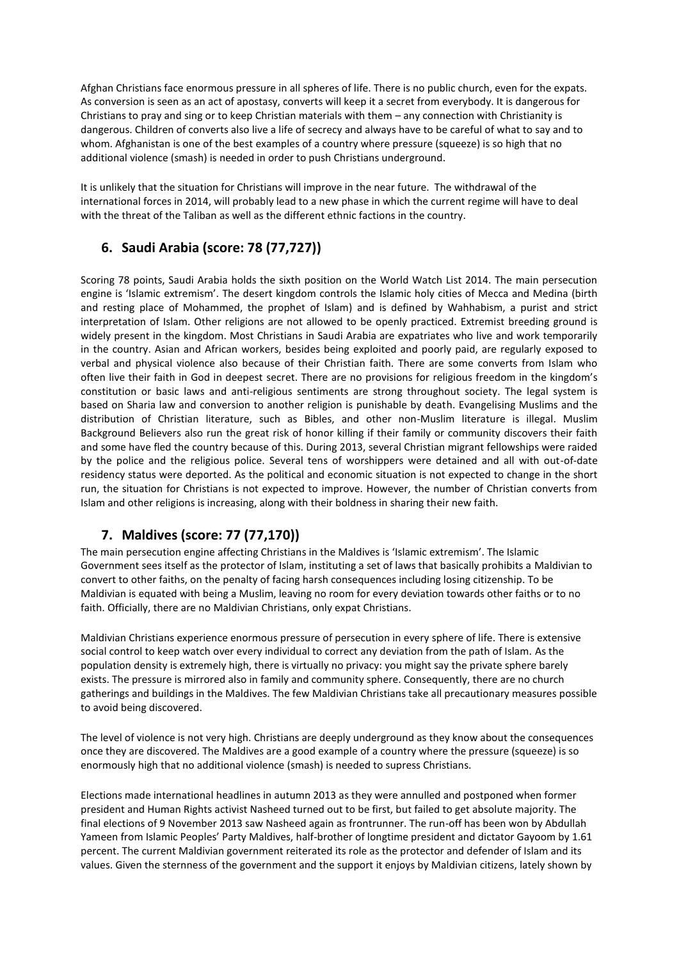Afghan Christians face enormous pressure in all spheres of life. There is no public church, even for the expats. As conversion is seen as an act of apostasy, converts will keep it a secret from everybody. It is dangerous for Christians to pray and sing or to keep Christian materials with them – any connection with Christianity is dangerous. Children of converts also live a life of secrecy and always have to be careful of what to say and to whom. Afghanistan is one of the best examples of a country where pressure (squeeze) is so high that no additional violence (smash) is needed in order to push Christians underground.

It is unlikely that the situation for Christians will improve in the near future. The withdrawal of the international forces in 2014, will probably lead to a new phase in which the current regime will have to deal with the threat of the Taliban as well as the different ethnic factions in the country.

#### **6. Saudi Arabia (score: 78 (77,727))**

Scoring 78 points, Saudi Arabia holds the sixth position on the World Watch List 2014. The main persecution engine is 'Islamic extremism'. The desert kingdom controls the Islamic holy cities of Mecca and Medina (birth and resting place of Mohammed, the prophet of Islam) and is defined by Wahhabism, a purist and strict interpretation of Islam. Other religions are not allowed to be openly practiced. Extremist breeding ground is widely present in the kingdom. Most Christians in Saudi Arabia are expatriates who live and work temporarily in the country. Asian and African workers, besides being exploited and poorly paid, are regularly exposed to verbal and physical violence also because of their Christian faith. There are some converts from Islam who often live their faith in God in deepest secret. There are no provisions for religious freedom in the kingdom's constitution or basic laws and anti-religious sentiments are strong throughout society. The legal system is based on Sharia law and conversion to another religion is punishable by death. Evangelising Muslims and the distribution of Christian literature, such as Bibles, and other non-Muslim literature is illegal. Muslim Background Believers also run the great risk of honor killing if their family or community discovers their faith and some have fled the country because of this. During 2013, several Christian migrant fellowships were raided by the police and the religious police. Several tens of worshippers were detained and all with out-of-date residency status were deported. As the political and economic situation is not expected to change in the short run, the situation for Christians is not expected to improve. However, the number of Christian converts from Islam and other religions is increasing, along with their boldness in sharing their new faith.

## **7. Maldives (score: 77 (77,170))**

The main persecution engine affecting Christians in the Maldives is 'Islamic extremism'. The Islamic Government sees itself as the protector of Islam, instituting a set of laws that basically prohibits a Maldivian to convert to other faiths, on the penalty of facing harsh consequences including losing citizenship. To be Maldivian is equated with being a Muslim, leaving no room for every deviation towards other faiths or to no faith. Officially, there are no Maldivian Christians, only expat Christians.

Maldivian Christians experience enormous pressure of persecution in every sphere of life. There is extensive social control to keep watch over every individual to correct any deviation from the path of Islam. As the population density is extremely high, there is virtually no privacy: you might say the private sphere barely exists. The pressure is mirrored also in family and community sphere. Consequently, there are no church gatherings and buildings in the Maldives. The few Maldivian Christians take all precautionary measures possible to avoid being discovered.

The level of violence is not very high. Christians are deeply underground as they know about the consequences once they are discovered. The Maldives are a good example of a country where the pressure (squeeze) is so enormously high that no additional violence (smash) is needed to supress Christians.

Elections made international headlines in autumn 2013 as they were annulled and postponed when former president and Human Rights activist Nasheed turned out to be first, but failed to get absolute majority. The final elections of 9 November 2013 saw Nasheed again as frontrunner. The run-off has been won by Abdullah Yameen from Islamic Peoples' Party Maldives, half-brother of longtime president and dictator Gayoom by 1.61 percent. The current Maldivian government reiterated its role as the protector and defender of Islam and its values. Given the sternness of the government and the support it enjoys by Maldivian citizens, lately shown by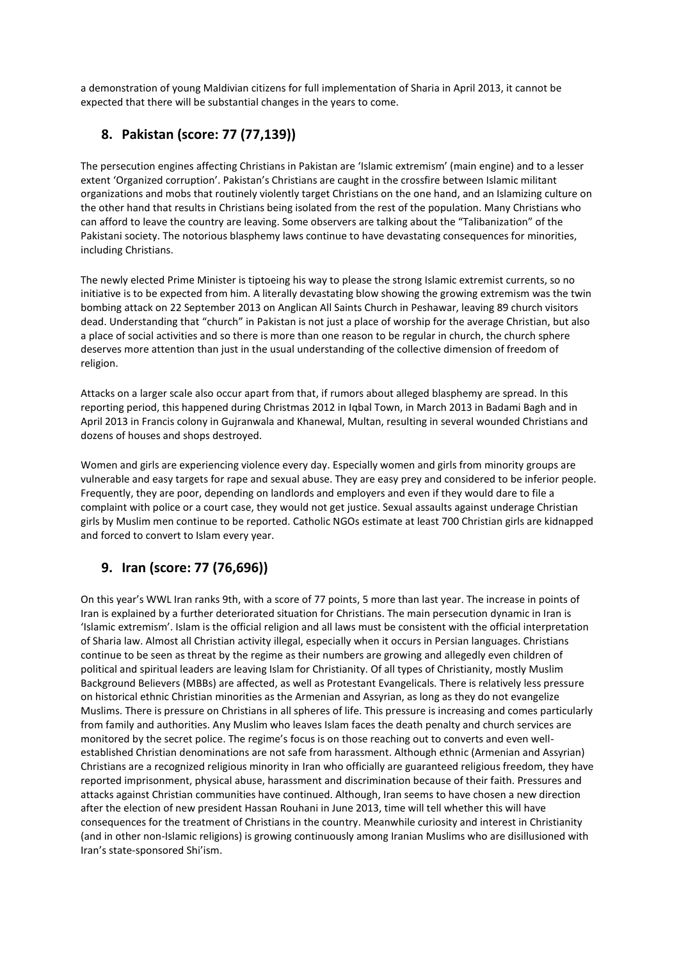a demonstration of young Maldivian citizens for full implementation of Sharia in April 2013, it cannot be expected that there will be substantial changes in the years to come.

## **8. Pakistan (score: 77 (77,139))**

The persecution engines affecting Christians in Pakistan are 'Islamic extremism' (main engine) and to a lesser extent 'Organized corruption'. Pakistan's Christians are caught in the crossfire between Islamic militant organizations and mobs that routinely violently target Christians on the one hand, and an Islamizing culture on the other hand that results in Christians being isolated from the rest of the population. Many Christians who can afford to leave the country are leaving. Some observers are talking about the "Talibanization" of the Pakistani society. The notorious blasphemy laws continue to have devastating consequences for minorities, including Christians.

The newly elected Prime Minister is tiptoeing his way to please the strong Islamic extremist currents, so no initiative is to be expected from him. A literally devastating blow showing the growing extremism was the twin bombing attack on 22 September 2013 on Anglican All Saints Church in Peshawar, leaving 89 church visitors dead. Understanding that "church" in Pakistan is not just a place of worship for the average Christian, but also a place of social activities and so there is more than one reason to be regular in church, the church sphere deserves more attention than just in the usual understanding of the collective dimension of freedom of religion.

Attacks on a larger scale also occur apart from that, if rumors about alleged blasphemy are spread. In this reporting period, this happened during Christmas 2012 in Iqbal Town, in March 2013 in Badami Bagh and in April 2013 in Francis colony in Gujranwala and Khanewal, Multan, resulting in several wounded Christians and dozens of houses and shops destroyed.

Women and girls are experiencing violence every day. Especially women and girls from minority groups are vulnerable and easy targets for rape and sexual abuse. They are easy prey and considered to be inferior people. Frequently, they are poor, depending on landlords and employers and even if they would dare to file a complaint with police or a court case, they would not get justice. Sexual assaults against underage Christian girls by Muslim men continue to be reported. Catholic NGOs estimate at least 700 Christian girls are kidnapped and forced to convert to Islam every year.

# **9. Iran (score: 77 (76,696))**

On this year's WWL Iran ranks 9th, with a score of 77 points, 5 more than last year. The increase in points of Iran is explained by a further deteriorated situation for Christians. The main persecution dynamic in Iran is 'Islamic extremism'. Islam is the official religion and all laws must be consistent with the official interpretation of Sharia law. Almost all Christian activity illegal, especially when it occurs in Persian languages. Christians continue to be seen as threat by the regime as their numbers are growing and allegedly even children of political and spiritual leaders are leaving Islam for Christianity. Of all types of Christianity, mostly Muslim Background Believers (MBBs) are affected, as well as Protestant Evangelicals. There is relatively less pressure on historical ethnic Christian minorities as the Armenian and Assyrian, as long as they do not evangelize Muslims. There is pressure on Christians in all spheres of life. This pressure is increasing and comes particularly from family and authorities. Any Muslim who leaves Islam faces the death penalty and church services are monitored by the secret police. The regime's focus is on those reaching out to converts and even wellestablished Christian denominations are not safe from harassment. Although ethnic (Armenian and Assyrian) Christians are a recognized religious minority in Iran who officially are guaranteed religious freedom, they have reported imprisonment, physical abuse, harassment and discrimination because of their faith. Pressures and attacks against Christian communities have continued. Although, Iran seems to have chosen a new direction after the election of new president Hassan Rouhani in June 2013, time will tell whether this will have consequences for the treatment of Christians in the country. Meanwhile curiosity and interest in Christianity (and in other non-Islamic religions) is growing continuously among Iranian Muslims who are disillusioned with Iran's state-sponsored Shi'ism.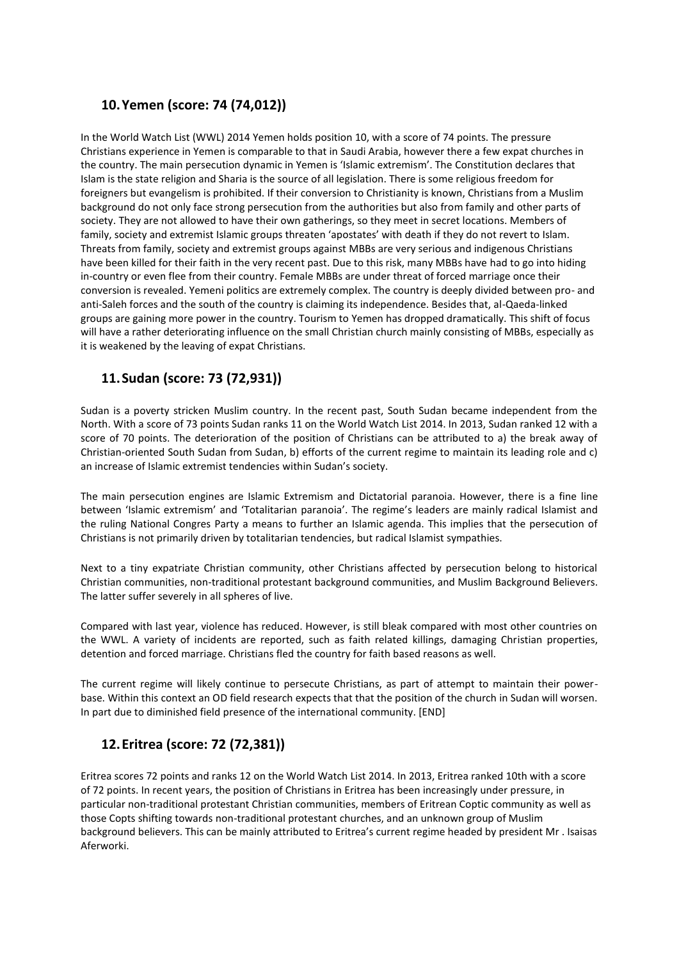#### **10.Yemen (score: 74 (74,012))**

In the World Watch List (WWL) 2014 Yemen holds position 10, with a score of 74 points. The pressure Christians experience in Yemen is comparable to that in Saudi Arabia, however there a few expat churches in the country. The main persecution dynamic in Yemen is 'Islamic extremism'. The Constitution declares that Islam is the state religion and Sharia is the source of all legislation. There is some religious freedom for foreigners but evangelism is prohibited. If their conversion to Christianity is known, Christians from a Muslim background do not only face strong persecution from the authorities but also from family and other parts of society. They are not allowed to have their own gatherings, so they meet in secret locations. Members of family, society and extremist Islamic groups threaten 'apostates' with death if they do not revert to Islam. Threats from family, society and extremist groups against MBBs are very serious and indigenous Christians have been killed for their faith in the very recent past. Due to this risk, many MBBs have had to go into hiding in-country or even flee from their country. Female MBBs are under threat of forced marriage once their conversion is revealed. Yemeni politics are extremely complex. The country is deeply divided between pro- and anti-Saleh forces and the south of the country is claiming its independence. Besides that, al-Qaeda-linked groups are gaining more power in the country. Tourism to Yemen has dropped dramatically. This shift of focus will have a rather deteriorating influence on the small Christian church mainly consisting of MBBs, especially as it is weakened by the leaving of expat Christians.

#### **11.Sudan (score: 73 (72,931))**

Sudan is a poverty stricken Muslim country. In the recent past, South Sudan became independent from the North. With a score of 73 points Sudan ranks 11 on the World Watch List 2014. In 2013, Sudan ranked 12 with a score of 70 points. The deterioration of the position of Christians can be attributed to a) the break away of Christian-oriented South Sudan from Sudan, b) efforts of the current regime to maintain its leading role and c) an increase of Islamic extremist tendencies within Sudan's society.

The main persecution engines are Islamic Extremism and Dictatorial paranoia. However, there is a fine line between 'Islamic extremism' and 'Totalitarian paranoia'. The regime's leaders are mainly radical Islamist and the ruling National Congres Party a means to further an Islamic agenda. This implies that the persecution of Christians is not primarily driven by totalitarian tendencies, but radical Islamist sympathies.

Next to a tiny expatriate Christian community, other Christians affected by persecution belong to historical Christian communities, non-traditional protestant background communities, and Muslim Background Believers. The latter suffer severely in all spheres of live.

Compared with last year, violence has reduced. However, is still bleak compared with most other countries on the WWL. A variety of incidents are reported, such as faith related killings, damaging Christian properties, detention and forced marriage. Christians fled the country for faith based reasons as well.

The current regime will likely continue to persecute Christians, as part of attempt to maintain their powerbase. Within this context an OD field research expects that that the position of the church in Sudan will worsen. In part due to diminished field presence of the international community. [END]

#### **12.Eritrea (score: 72 (72,381))**

Eritrea scores 72 points and ranks 12 on the World Watch List 2014. In 2013, Eritrea ranked 10th with a score of 72 points. In recent years, the position of Christians in Eritrea has been increasingly under pressure, in particular non-traditional protestant Christian communities, members of Eritrean Coptic community as well as those Copts shifting towards non-traditional protestant churches, and an unknown group of Muslim background believers. This can be mainly attributed to Eritrea's current regime headed by president Mr . Isaisas Aferworki.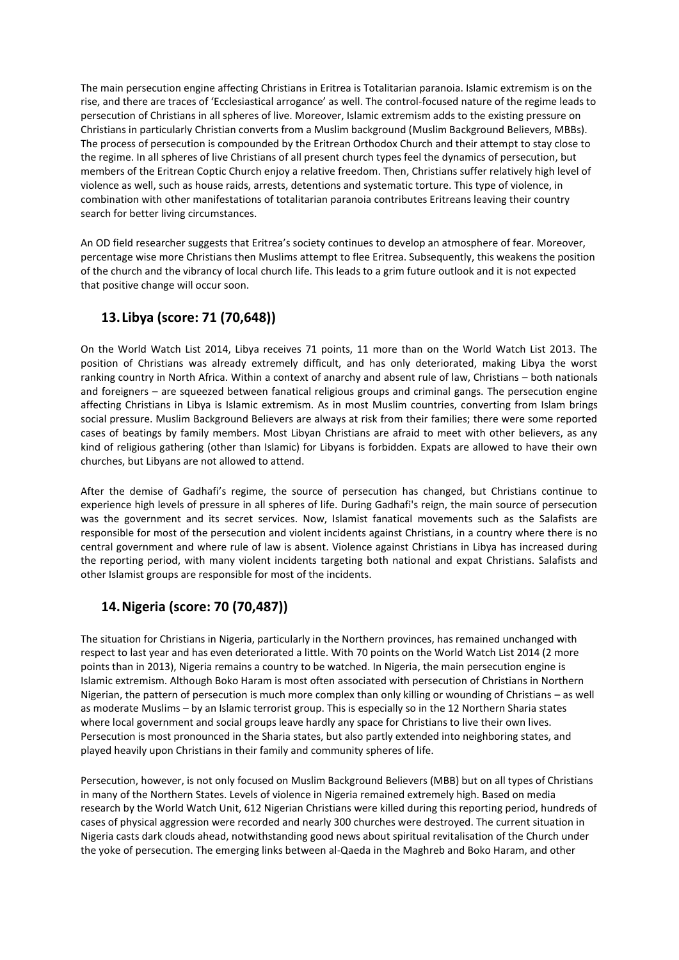The main persecution engine affecting Christians in Eritrea is Totalitarian paranoia. Islamic extremism is on the rise, and there are traces of 'Ecclesiastical arrogance' as well. The control-focused nature of the regime leads to persecution of Christians in all spheres of live. Moreover, Islamic extremism adds to the existing pressure on Christians in particularly Christian converts from a Muslim background (Muslim Background Believers, MBBs). The process of persecution is compounded by the Eritrean Orthodox Church and their attempt to stay close to the regime. In all spheres of live Christians of all present church types feel the dynamics of persecution, but members of the Eritrean Coptic Church enjoy a relative freedom. Then, Christians suffer relatively high level of violence as well, such as house raids, arrests, detentions and systematic torture. This type of violence, in combination with other manifestations of totalitarian paranoia contributes Eritreans leaving their country search for better living circumstances.

An OD field researcher suggests that Eritrea's society continues to develop an atmosphere of fear. Moreover, percentage wise more Christians then Muslims attempt to flee Eritrea. Subsequently, this weakens the position of the church and the vibrancy of local church life. This leads to a grim future outlook and it is not expected that positive change will occur soon.

#### **13.Libya (score: 71 (70,648))**

On the World Watch List 2014, Libya receives 71 points, 11 more than on the World Watch List 2013. The position of Christians was already extremely difficult, and has only deteriorated, making Libya the worst ranking country in North Africa. Within a context of anarchy and absent rule of law, Christians – both nationals and foreigners – are squeezed between fanatical religious groups and criminal gangs. The persecution engine affecting Christians in Libya is Islamic extremism. As in most Muslim countries, converting from Islam brings social pressure. Muslim Background Believers are always at risk from their families; there were some reported cases of beatings by family members. Most Libyan Christians are afraid to meet with other believers, as any kind of religious gathering (other than Islamic) for Libyans is forbidden. Expats are allowed to have their own churches, but Libyans are not allowed to attend.

After the demise of Gadhafi's regime, the source of persecution has changed, but Christians continue to experience high levels of pressure in all spheres of life. During Gadhafi's reign, the main source of persecution was the government and its secret services. Now, Islamist fanatical movements such as the Salafists are responsible for most of the persecution and violent incidents against Christians, in a country where there is no central government and where rule of law is absent. Violence against Christians in Libya has increased during the reporting period, with many violent incidents targeting both national and expat Christians. Salafists and other Islamist groups are responsible for most of the incidents.

## **14.Nigeria (score: 70 (70,487))**

The situation for Christians in Nigeria, particularly in the Northern provinces, has remained unchanged with respect to last year and has even deteriorated a little. With 70 points on the World Watch List 2014 (2 more points than in 2013), Nigeria remains a country to be watched. In Nigeria, the main persecution engine is Islamic extremism. Although Boko Haram is most often associated with persecution of Christians in Northern Nigerian, the pattern of persecution is much more complex than only killing or wounding of Christians – as well as moderate Muslims – by an Islamic terrorist group. This is especially so in the 12 Northern Sharia states where local government and social groups leave hardly any space for Christians to live their own lives. Persecution is most pronounced in the Sharia states, but also partly extended into neighboring states, and played heavily upon Christians in their family and community spheres of life.

Persecution, however, is not only focused on Muslim Background Believers (MBB) but on all types of Christians in many of the Northern States. Levels of violence in Nigeria remained extremely high. Based on media research by the World Watch Unit, 612 Nigerian Christians were killed during this reporting period, hundreds of cases of physical aggression were recorded and nearly 300 churches were destroyed. The current situation in Nigeria casts dark clouds ahead, notwithstanding good news about spiritual revitalisation of the Church under the yoke of persecution. The emerging links between al-Qaeda in the Maghreb and Boko Haram, and other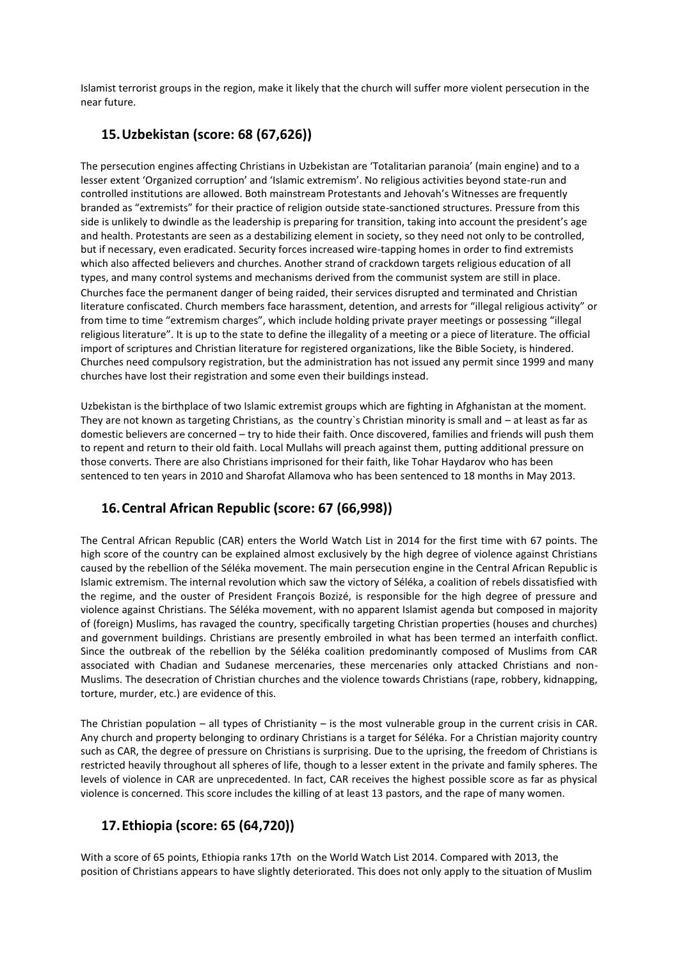Islamist terrorist groups in the region, make it likely that the church will suffer more violent persecution in the near future.

#### **15.Uzbekistan (score: 68 (67,626))**

The persecution engines affecting Christians in Uzbekistan are 'Totalitarian paranoia' (main engine) and to a lesser extent 'Organized corruption' and 'Islamic extremism'. No religious activities beyond state-run and controlled institutions are allowed. Both mainstream Protestants and Jehovah's Witnesses are frequently branded as "extremists" for their practice of religion outside state-sanctioned structures. Pressure from this side is unlikely to dwindle as the leadership is preparing for transition, taking into account the president's age and health. Protestants are seen as a destabilizing element in society, so they need not only to be controlled, but if necessary, even eradicated. Security forces increased wire-tapping homes in order to find extremists which also affected believers and churches. Another strand of crackdown targets religious education of all types, and many control systems and mechanisms derived from the communist system are still in place. Churches face the permanent danger of being raided, their services disrupted and terminated and Christian literature confiscated. Church members face harassment, detention, and arrests for "illegal religious activity" or from time to time "extremism charges", which include holding private prayer meetings or possessing "illegal religious literature". It is up to the state to define the illegality of a meeting or a piece of literature. The official import of scriptures and Christian literature for registered organizations, like the Bible Society, is hindered. Churches need compulsory registration, but the administration has not issued any permit since 1999 and many churches have lost their registration and some even their buildings instead.

Uzbekistan is the birthplace of two Islamic extremist groups which are fighting in Afghanistan at the moment. They are not known as targeting Christians, as the country`s Christian minority is small and – at least as far as domestic believers are concerned – try to hide their faith. Once discovered, families and friends will push them to repent and return to their old faith. Local Mullahs will preach against them, putting additional pressure on those converts. There are also Christians imprisoned for their faith, like Tohar Haydarov who has been sentenced to ten years in 2010 and Sharofat Allamova who has been sentenced to 18 months in May 2013.

## **16.Central African Republic (score: 67 (66,998))**

The Central African Republic (CAR) enters the World Watch List in 2014 for the first time with 67 points. The high score of the country can be explained almost exclusively by the high degree of violence against Christians caused by the rebellion of the Séléka movement. The main persecution engine in the Central African Republic is Islamic extremism. The internal revolution which saw the victory of Séléka, a coalition of rebels dissatisfied with the regime, and the ouster of President François Bozizé, is responsible for the high degree of pressure and violence against Christians. The Séléka movement, with no apparent Islamist agenda but composed in majority of (foreign) Muslims, has ravaged the country, specifically targeting Christian properties (houses and churches) and government buildings. Christians are presently embroiled in what has been termed an interfaith conflict. Since the outbreak of the rebellion by the Séléka coalition predominantly composed of Muslims from CAR associated with Chadian and Sudanese mercenaries, these mercenaries only attacked Christians and non-Muslims. The desecration of Christian churches and the violence towards Christians (rape, robbery, kidnapping, torture, murder, etc.) are evidence of this.

The Christian population – all types of Christianity – is the most vulnerable group in the current crisis in CAR. Any church and property belonging to ordinary Christians is a target for Séléka. For a Christian majority country such as CAR, the degree of pressure on Christians is surprising. Due to the uprising, the freedom of Christians is restricted heavily throughout all spheres of life, though to a lesser extent in the private and family spheres. The levels of violence in CAR are unprecedented. In fact, CAR receives the highest possible score as far as physical violence is concerned. This score includes the killing of at least 13 pastors, and the rape of many women.

## **17.Ethiopia (score: 65 (64,720))**

With a score of 65 points, Ethiopia ranks 17th on the World Watch List 2014. Compared with 2013, the position of Christians appears to have slightly deteriorated. This does not only apply to the situation of Muslim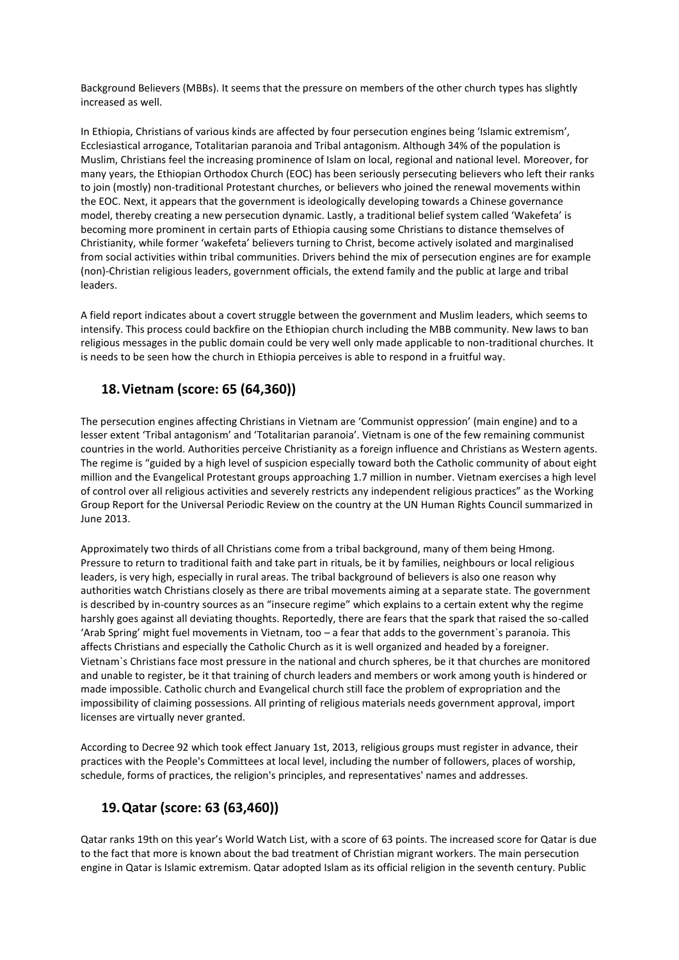Background Believers (MBBs). It seems that the pressure on members of the other church types has slightly increased as well.

In Ethiopia, Christians of various kinds are affected by four persecution engines being 'Islamic extremism', Ecclesiastical arrogance, Totalitarian paranoia and Tribal antagonism. Although 34% of the population is Muslim, Christians feel the increasing prominence of Islam on local, regional and national level. Moreover, for many years, the Ethiopian Orthodox Church (EOC) has been seriously persecuting believers who left their ranks to join (mostly) non-traditional Protestant churches, or believers who joined the renewal movements within the EOC. Next, it appears that the government is ideologically developing towards a Chinese governance model, thereby creating a new persecution dynamic. Lastly, a traditional belief system called 'Wakefeta' is becoming more prominent in certain parts of Ethiopia causing some Christians to distance themselves of Christianity, while former 'wakefeta' believers turning to Christ, become actively isolated and marginalised from social activities within tribal communities. Drivers behind the mix of persecution engines are for example (non)-Christian religious leaders, government officials, the extend family and the public at large and tribal leaders.

A field report indicates about a covert struggle between the government and Muslim leaders, which seems to intensify. This process could backfire on the Ethiopian church including the MBB community. New laws to ban religious messages in the public domain could be very well only made applicable to non-traditional churches. It is needs to be seen how the church in Ethiopia perceives is able to respond in a fruitful way.

#### **18.Vietnam (score: 65 (64,360))**

The persecution engines affecting Christians in Vietnam are 'Communist oppression' (main engine) and to a lesser extent 'Tribal antagonism' and 'Totalitarian paranoia'. Vietnam is one of the few remaining communist countries in the world. Authorities perceive Christianity as a foreign influence and Christians as Western agents. The regime is "guided by a high level of suspicion especially toward both the Catholic community of about eight million and the Evangelical Protestant groups approaching 1.7 million in number. Vietnam exercises a high level of control over all religious activities and severely restricts any independent religious practices" as the Working Group Report for the Universal Periodic Review on the country at the UN Human Rights Council summarized in June 2013.

Approximately two thirds of all Christians come from a tribal background, many of them being Hmong. Pressure to return to traditional faith and take part in rituals, be it by families, neighbours or local religious leaders, is very high, especially in rural areas. The tribal background of believers is also one reason why authorities watch Christians closely as there are tribal movements aiming at a separate state. The government is described by in-country sources as an "insecure regime" which explains to a certain extent why the regime harshly goes against all deviating thoughts. Reportedly, there are fears that the spark that raised the so-called 'Arab Spring' might fuel movements in Vietnam, too – a fear that adds to the government`s paranoia. This affects Christians and especially the Catholic Church as it is well organized and headed by a foreigner. Vietnam`s Christians face most pressure in the national and church spheres, be it that churches are monitored and unable to register, be it that training of church leaders and members or work among youth is hindered or made impossible. Catholic church and Evangelical church still face the problem of expropriation and the impossibility of claiming possessions. All printing of religious materials needs government approval, import licenses are virtually never granted.

According to Decree 92 which took effect January 1st, 2013, religious groups must register in advance, their practices with the People's Committees at local level, including the number of followers, places of worship, schedule, forms of practices, the religion's principles, and representatives' names and addresses.

## **19.Qatar (score: 63 (63,460))**

Qatar ranks 19th on this year's World Watch List, with a score of 63 points. The increased score for Qatar is due to the fact that more is known about the bad treatment of Christian migrant workers. The main persecution engine in Qatar is Islamic extremism. Qatar adopted Islam as its official religion in the seventh century. Public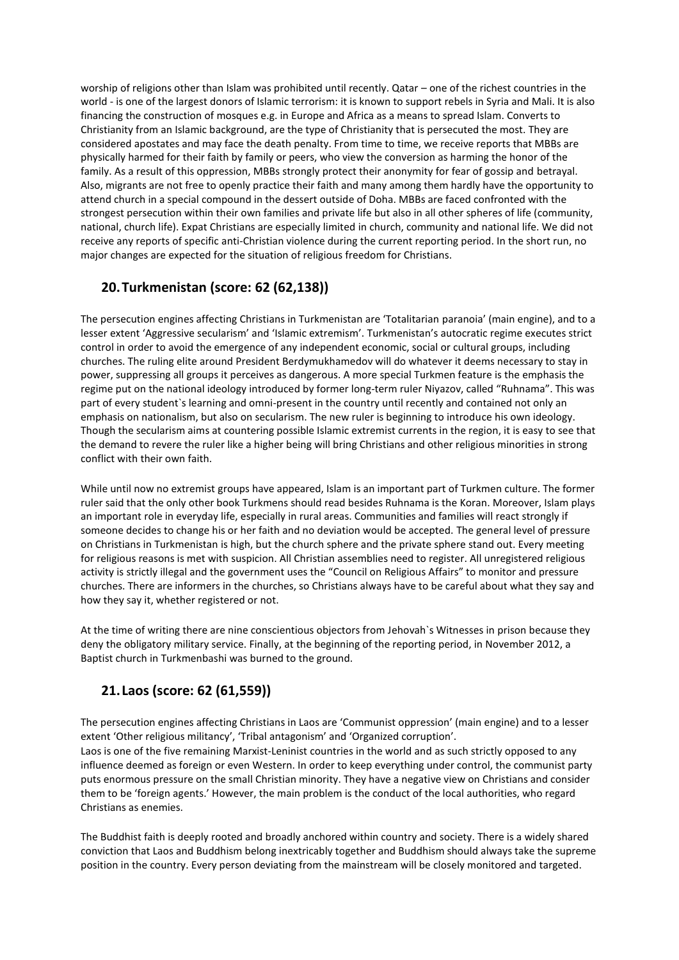worship of religions other than Islam was prohibited until recently. Qatar – one of the richest countries in the world - is one of the largest donors of Islamic terrorism: it is known to support rebels in Syria and Mali. It is also financing the construction of mosques e.g. in Europe and Africa as a means to spread Islam. Converts to Christianity from an Islamic background, are the type of Christianity that is persecuted the most. They are considered apostates and may face the death penalty. From time to time, we receive reports that MBBs are physically harmed for their faith by family or peers, who view the conversion as harming the honor of the family. As a result of this oppression, MBBs strongly protect their anonymity for fear of gossip and betrayal. Also, migrants are not free to openly practice their faith and many among them hardly have the opportunity to attend church in a special compound in the dessert outside of Doha. MBBs are faced confronted with the strongest persecution within their own families and private life but also in all other spheres of life (community, national, church life). Expat Christians are especially limited in church, community and national life. We did not receive any reports of specific anti-Christian violence during the current reporting period. In the short run, no major changes are expected for the situation of religious freedom for Christians.

#### **20.Turkmenistan (score: 62 (62,138))**

The persecution engines affecting Christians in Turkmenistan are 'Totalitarian paranoia' (main engine), and to a lesser extent 'Aggressive secularism' and 'Islamic extremism'. Turkmenistan's autocratic regime executes strict control in order to avoid the emergence of any independent economic, social or cultural groups, including churches. The ruling elite around President Berdymukhamedov will do whatever it deems necessary to stay in power, suppressing all groups it perceives as dangerous. A more special Turkmen feature is the emphasis the regime put on the national ideology introduced by former long-term ruler Niyazov, called "Ruhnama". This was part of every student`s learning and omni-present in the country until recently and contained not only an emphasis on nationalism, but also on secularism. The new ruler is beginning to introduce his own ideology. Though the secularism aims at countering possible Islamic extremist currents in the region, it is easy to see that the demand to revere the ruler like a higher being will bring Christians and other religious minorities in strong conflict with their own faith.

While until now no extremist groups have appeared, Islam is an important part of Turkmen culture. The former ruler said that the only other book Turkmens should read besides Ruhnama is the Koran. Moreover, Islam plays an important role in everyday life, especially in rural areas. Communities and families will react strongly if someone decides to change his or her faith and no deviation would be accepted. The general level of pressure on Christians in Turkmenistan is high, but the church sphere and the private sphere stand out. Every meeting for religious reasons is met with suspicion. All Christian assemblies need to register. All unregistered religious activity is strictly illegal and the government uses the "Council on Religious Affairs" to monitor and pressure churches. There are informers in the churches, so Christians always have to be careful about what they say and how they say it, whether registered or not.

At the time of writing there are nine conscientious objectors from Jehovah`s Witnesses in prison because they deny the obligatory military service. Finally, at the beginning of the reporting period, in November 2012, a Baptist church in Turkmenbashi was burned to the ground.

## **21.Laos (score: 62 (61,559))**

The persecution engines affecting Christians in Laos are 'Communist oppression' (main engine) and to a lesser extent 'Other religious militancy', 'Tribal antagonism' and 'Organized corruption'. Laos is one of the five remaining Marxist-Leninist countries in the world and as such strictly opposed to any influence deemed as foreign or even Western. In order to keep everything under control, the communist party puts enormous pressure on the small Christian minority. They have a negative view on Christians and consider them to be 'foreign agents.' However, the main problem is the conduct of the local authorities, who regard Christians as enemies.

The Buddhist faith is deeply rooted and broadly anchored within country and society. There is a widely shared conviction that Laos and Buddhism belong inextricably together and Buddhism should always take the supreme position in the country. Every person deviating from the mainstream will be closely monitored and targeted.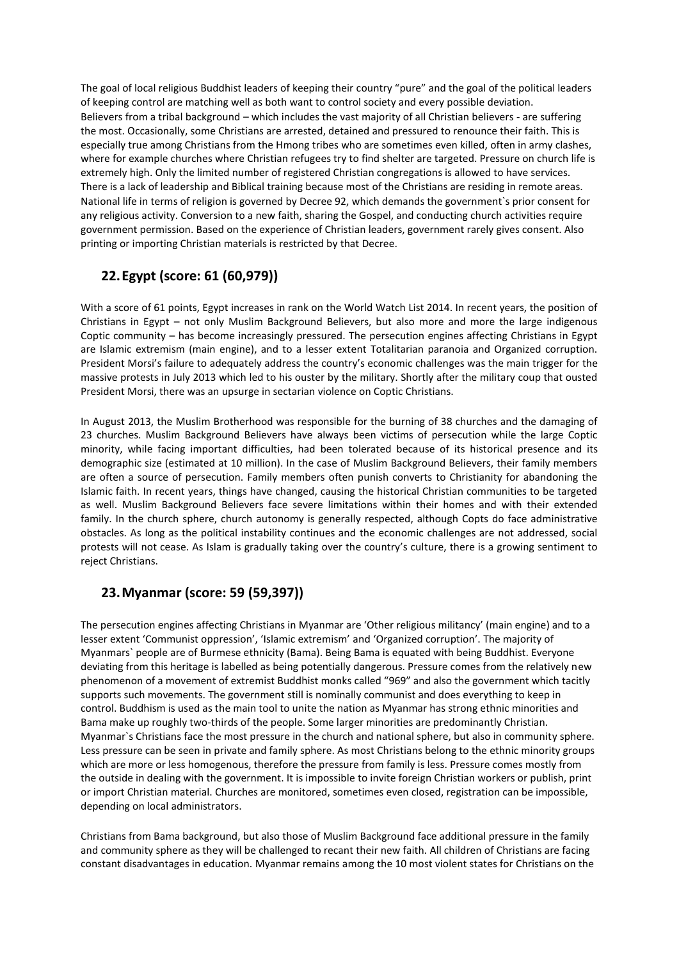The goal of local religious Buddhist leaders of keeping their country "pure" and the goal of the political leaders of keeping control are matching well as both want to control society and every possible deviation. Believers from a tribal background – which includes the vast majority of all Christian believers - are suffering the most. Occasionally, some Christians are arrested, detained and pressured to renounce their faith. This is especially true among Christians from the Hmong tribes who are sometimes even killed, often in army clashes, where for example churches where Christian refugees try to find shelter are targeted. Pressure on church life is extremely high. Only the limited number of registered Christian congregations is allowed to have services. There is a lack of leadership and Biblical training because most of the Christians are residing in remote areas. National life in terms of religion is governed by Decree 92, which demands the government`s prior consent for any religious activity. Conversion to a new faith, sharing the Gospel, and conducting church activities require government permission. Based on the experience of Christian leaders, government rarely gives consent. Also printing or importing Christian materials is restricted by that Decree.

## **22.Egypt (score: 61 (60,979))**

With a score of 61 points, Egypt increases in rank on the World Watch List 2014. In recent years, the position of Christians in Egypt – not only Muslim Background Believers, but also more and more the large indigenous Coptic community – has become increasingly pressured. The persecution engines affecting Christians in Egypt are Islamic extremism (main engine), and to a lesser extent Totalitarian paranoia and Organized corruption. President Morsi's failure to adequately address the country's economic challenges was the main trigger for the massive protests in July 2013 which led to his ouster by the military. Shortly after the military coup that ousted President Morsi, there was an upsurge in sectarian violence on Coptic Christians.

In August 2013, the Muslim Brotherhood was responsible for the burning of 38 churches and the damaging of 23 churches. Muslim Background Believers have always been victims of persecution while the large Coptic minority, while facing important difficulties, had been tolerated because of its historical presence and its demographic size (estimated at 10 million). In the case of Muslim Background Believers, their family members are often a source of persecution. Family members often punish converts to Christianity for abandoning the Islamic faith. In recent years, things have changed, causing the historical Christian communities to be targeted as well. Muslim Background Believers face severe limitations within their homes and with their extended family. In the church sphere, church autonomy is generally respected, although Copts do face administrative obstacles. As long as the political instability continues and the economic challenges are not addressed, social protests will not cease. As Islam is gradually taking over the country's culture, there is a growing sentiment to reject Christians.

## **23.Myanmar (score: 59 (59,397))**

The persecution engines affecting Christians in Myanmar are 'Other religious militancy' (main engine) and to a lesser extent 'Communist oppression', 'Islamic extremism' and 'Organized corruption'. The majority of Myanmars` people are of Burmese ethnicity (Bama). Being Bama is equated with being Buddhist. Everyone deviating from this heritage is labelled as being potentially dangerous. Pressure comes from the relatively new phenomenon of a movement of extremist Buddhist monks called "969" and also the government which tacitly supports such movements. The government still is nominally communist and does everything to keep in control. Buddhism is used as the main tool to unite the nation as Myanmar has strong ethnic minorities and Bama make up roughly two-thirds of the people. Some larger minorities are predominantly Christian. Myanmar`s Christians face the most pressure in the church and national sphere, but also in community sphere. Less pressure can be seen in private and family sphere. As most Christians belong to the ethnic minority groups which are more or less homogenous, therefore the pressure from family is less. Pressure comes mostly from the outside in dealing with the government. It is impossible to invite foreign Christian workers or publish, print or import Christian material. Churches are monitored, sometimes even closed, registration can be impossible, depending on local administrators.

Christians from Bama background, but also those of Muslim Background face additional pressure in the family and community sphere as they will be challenged to recant their new faith. All children of Christians are facing constant disadvantages in education. Myanmar remains among the 10 most violent states for Christians on the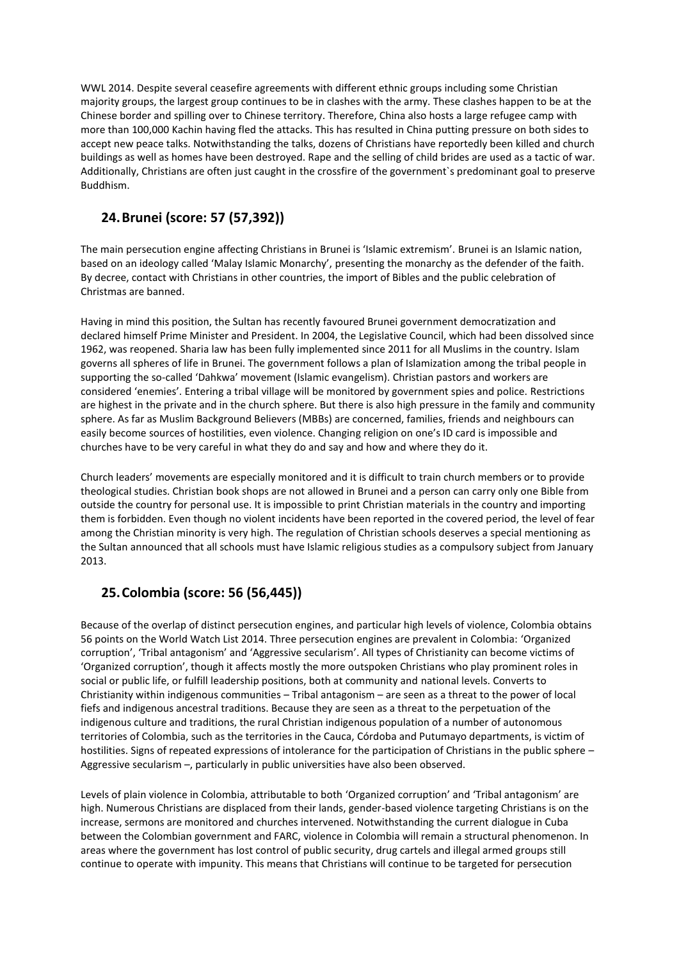WWL 2014. Despite several ceasefire agreements with different ethnic groups including some Christian majority groups, the largest group continues to be in clashes with the army. These clashes happen to be at the Chinese border and spilling over to Chinese territory. Therefore, China also hosts a large refugee camp with more than 100,000 Kachin having fled the attacks. This has resulted in China putting pressure on both sides to accept new peace talks. Notwithstanding the talks, dozens of Christians have reportedly been killed and church buildings as well as homes have been destroyed. Rape and the selling of child brides are used as a tactic of war. Additionally, Christians are often just caught in the crossfire of the government`s predominant goal to preserve Buddhism.

## **24.Brunei (score: 57 (57,392))**

The main persecution engine affecting Christians in Brunei is 'Islamic extremism'. Brunei is an Islamic nation, based on an ideology called 'Malay Islamic Monarchy', presenting the monarchy as the defender of the faith. By decree, contact with Christians in other countries, the import of Bibles and the public celebration of Christmas are banned.

Having in mind this position, the Sultan has recently favoured Brunei government democratization and declared himself Prime Minister and President. In 2004, the Legislative Council, which had been dissolved since 1962, was reopened. Sharia law has been fully implemented since 2011 for all Muslims in the country. Islam governs all spheres of life in Brunei. The government follows a plan of Islamization among the tribal people in supporting the so-called 'Dahkwa' movement (Islamic evangelism). Christian pastors and workers are considered 'enemies'. Entering a tribal village will be monitored by government spies and police. Restrictions are highest in the private and in the church sphere. But there is also high pressure in the family and community sphere. As far as Muslim Background Believers (MBBs) are concerned, families, friends and neighbours can easily become sources of hostilities, even violence. Changing religion on one's ID card is impossible and churches have to be very careful in what they do and say and how and where they do it.

Church leaders' movements are especially monitored and it is difficult to train church members or to provide theological studies. Christian book shops are not allowed in Brunei and a person can carry only one Bible from outside the country for personal use. It is impossible to print Christian materials in the country and importing them is forbidden. Even though no violent incidents have been reported in the covered period, the level of fear among the Christian minority is very high. The regulation of Christian schools deserves a special mentioning as the Sultan announced that all schools must have Islamic religious studies as a compulsory subject from January 2013.

# **25.Colombia (score: 56 (56,445))**

Because of the overlap of distinct persecution engines, and particular high levels of violence, Colombia obtains 56 points on the World Watch List 2014. Three persecution engines are prevalent in Colombia: 'Organized corruption', 'Tribal antagonism' and 'Aggressive secularism'. All types of Christianity can become victims of 'Organized corruption', though it affects mostly the more outspoken Christians who play prominent roles in social or public life, or fulfill leadership positions, both at community and national levels. Converts to Christianity within indigenous communities – Tribal antagonism – are seen as a threat to the power of local fiefs and indigenous ancestral traditions. Because they are seen as a threat to the perpetuation of the indigenous culture and traditions, the rural Christian indigenous population of a number of autonomous territories of Colombia, such as the territories in the Cauca, Córdoba and Putumayo departments, is victim of hostilities. Signs of repeated expressions of intolerance for the participation of Christians in the public sphere – Aggressive secularism –, particularly in public universities have also been observed.

Levels of plain violence in Colombia, attributable to both 'Organized corruption' and 'Tribal antagonism' are high. Numerous Christians are displaced from their lands, gender-based violence targeting Christians is on the increase, sermons are monitored and churches intervened. Notwithstanding the current dialogue in Cuba between the Colombian government and FARC, violence in Colombia will remain a structural phenomenon. In areas where the government has lost control of public security, drug cartels and illegal armed groups still continue to operate with impunity. This means that Christians will continue to be targeted for persecution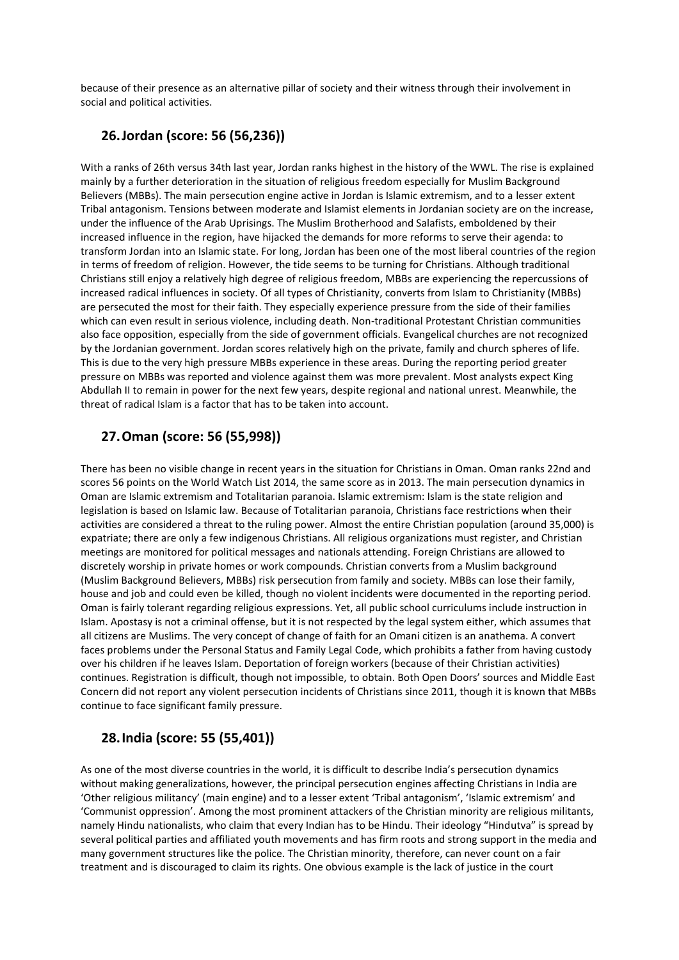because of their presence as an alternative pillar of society and their witness through their involvement in social and political activities.

#### **26.Jordan (score: 56 (56,236))**

With a ranks of 26th versus 34th last year, Jordan ranks highest in the history of the WWL. The rise is explained mainly by a further deterioration in the situation of religious freedom especially for Muslim Background Believers (MBBs). The main persecution engine active in Jordan is Islamic extremism, and to a lesser extent Tribal antagonism. Tensions between moderate and Islamist elements in Jordanian society are on the increase, under the influence of the Arab Uprisings. The Muslim Brotherhood and Salafists, emboldened by their increased influence in the region, have hijacked the demands for more reforms to serve their agenda: to transform Jordan into an Islamic state. For long, Jordan has been one of the most liberal countries of the region in terms of freedom of religion. However, the tide seems to be turning for Christians. Although traditional Christians still enjoy a relatively high degree of religious freedom, MBBs are experiencing the repercussions of increased radical influences in society. Of all types of Christianity, converts from Islam to Christianity (MBBs) are persecuted the most for their faith. They especially experience pressure from the side of their families which can even result in serious violence, including death. Non-traditional Protestant Christian communities also face opposition, especially from the side of government officials. Evangelical churches are not recognized by the Jordanian government. Jordan scores relatively high on the private, family and church spheres of life. This is due to the very high pressure MBBs experience in these areas. During the reporting period greater pressure on MBBs was reported and violence against them was more prevalent. Most analysts expect King Abdullah II to remain in power for the next few years, despite regional and national unrest. Meanwhile, the threat of radical Islam is a factor that has to be taken into account.

## **27.Oman (score: 56 (55,998))**

There has been no visible change in recent years in the situation for Christians in Oman. Oman ranks 22nd and scores 56 points on the World Watch List 2014, the same score as in 2013. The main persecution dynamics in Oman are Islamic extremism and Totalitarian paranoia. Islamic extremism: Islam is the state religion and legislation is based on Islamic law. Because of Totalitarian paranoia, Christians face restrictions when their activities are considered a threat to the ruling power. Almost the entire Christian population (around 35,000) is expatriate; there are only a few indigenous Christians. All religious organizations must register, and Christian meetings are monitored for political messages and nationals attending. Foreign Christians are allowed to discretely worship in private homes or work compounds. Christian converts from a Muslim background (Muslim Background Believers, MBBs) risk persecution from family and society. MBBs can lose their family, house and job and could even be killed, though no violent incidents were documented in the reporting period. Oman is fairly tolerant regarding religious expressions. Yet, all public school curriculums include instruction in Islam. Apostasy is not a criminal offense, but it is not respected by the legal system either, which assumes that all citizens are Muslims. The very concept of change of faith for an Omani citizen is an anathema. A convert faces problems under the Personal Status and Family Legal Code, which prohibits a father from having custody over his children if he leaves Islam. Deportation of foreign workers (because of their Christian activities) continues. Registration is difficult, though not impossible, to obtain. Both Open Doors' sources and Middle East Concern did not report any violent persecution incidents of Christians since 2011, though it is known that MBBs continue to face significant family pressure.

## **28.India (score: 55 (55,401))**

As one of the most diverse countries in the world, it is difficult to describe India's persecution dynamics without making generalizations, however, the principal persecution engines affecting Christians in India are 'Other religious militancy' (main engine) and to a lesser extent 'Tribal antagonism', 'Islamic extremism' and 'Communist oppression'. Among the most prominent attackers of the Christian minority are religious militants, namely Hindu nationalists, who claim that every Indian has to be Hindu. Their ideology "Hindutva" is spread by several political parties and affiliated youth movements and has firm roots and strong support in the media and many government structures like the police. The Christian minority, therefore, can never count on a fair treatment and is discouraged to claim its rights. One obvious example is the lack of justice in the court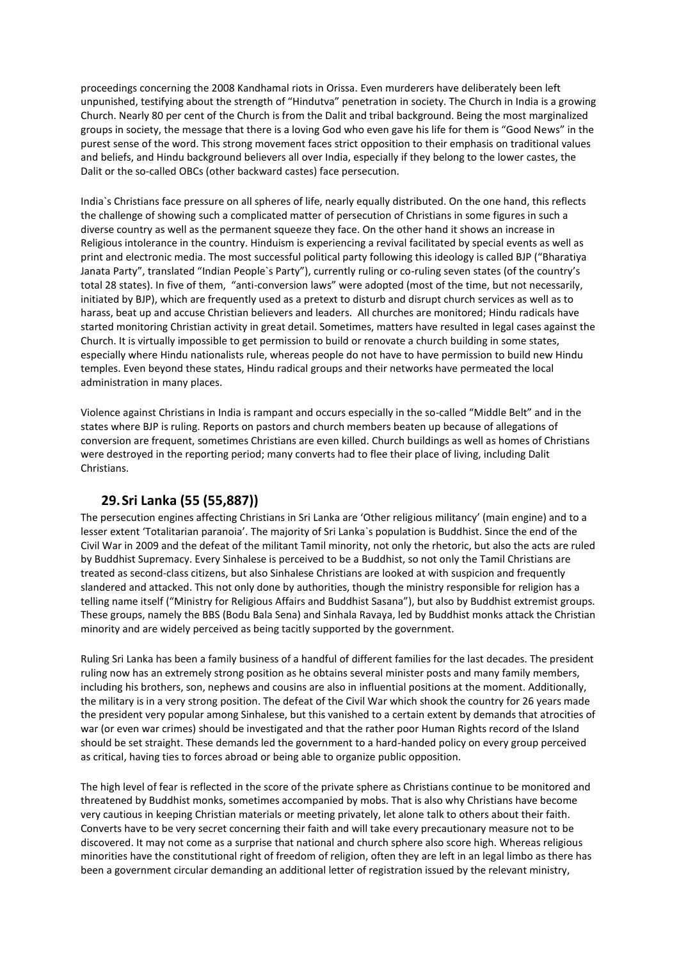proceedings concerning the 2008 Kandhamal riots in Orissa. Even murderers have deliberately been left unpunished, testifying about the strength of "Hindutva" penetration in society. The Church in India is a growing Church. Nearly 80 per cent of the Church is from the Dalit and tribal background. Being the most marginalized groups in society, the message that there is a loving God who even gave his life for them is "Good News" in the purest sense of the word. This strong movement faces strict opposition to their emphasis on traditional values and beliefs, and Hindu background believers all over India, especially if they belong to the lower castes, the Dalit or the so-called OBCs (other backward castes) face persecution.

India`s Christians face pressure on all spheres of life, nearly equally distributed. On the one hand, this reflects the challenge of showing such a complicated matter of persecution of Christians in some figures in such a diverse country as well as the permanent squeeze they face. On the other hand it shows an increase in Religious intolerance in the country. Hinduism is experiencing a revival facilitated by special events as well as print and electronic media. The most successful political party following this ideology is called BJP ("Bharatiya Janata Party", translated "Indian People`s Party"), currently ruling or co-ruling seven states (of the country's total 28 states). In five of them, "anti-conversion laws" were adopted (most of the time, but not necessarily, initiated by BJP), which are frequently used as a pretext to disturb and disrupt church services as well as to harass, beat up and accuse Christian believers and leaders. All churches are monitored; Hindu radicals have started monitoring Christian activity in great detail. Sometimes, matters have resulted in legal cases against the Church. It is virtually impossible to get permission to build or renovate a church building in some states, especially where Hindu nationalists rule, whereas people do not have to have permission to build new Hindu temples. Even beyond these states, Hindu radical groups and their networks have permeated the local administration in many places.

Violence against Christians in India is rampant and occurs especially in the so-called "Middle Belt" and in the states where BJP is ruling. Reports on pastors and church members beaten up because of allegations of conversion are frequent, sometimes Christians are even killed. Church buildings as well as homes of Christians were destroyed in the reporting period; many converts had to flee their place of living, including Dalit Christians.

#### **29.Sri Lanka (55 (55,887))**

The persecution engines affecting Christians in Sri Lanka are 'Other religious militancy' (main engine) and to a lesser extent 'Totalitarian paranoia'. The majority of Sri Lanka`s population is Buddhist. Since the end of the Civil War in 2009 and the defeat of the militant Tamil minority, not only the rhetoric, but also the acts are ruled by Buddhist Supremacy. Every Sinhalese is perceived to be a Buddhist, so not only the Tamil Christians are treated as second-class citizens, but also Sinhalese Christians are looked at with suspicion and frequently slandered and attacked. This not only done by authorities, though the ministry responsible for religion has a telling name itself ("Ministry for Religious Affairs and Buddhist Sasana"), but also by Buddhist extremist groups. These groups, namely the BBS (Bodu Bala Sena) and Sinhala Ravaya, led by Buddhist monks attack the Christian minority and are widely perceived as being tacitly supported by the government.

Ruling Sri Lanka has been a family business of a handful of different families for the last decades. The president ruling now has an extremely strong position as he obtains several minister posts and many family members, including his brothers, son, nephews and cousins are also in influential positions at the moment. Additionally, the military is in a very strong position. The defeat of the Civil War which shook the country for 26 years made the president very popular among Sinhalese, but this vanished to a certain extent by demands that atrocities of war (or even war crimes) should be investigated and that the rather poor Human Rights record of the Island should be set straight. These demands led the government to a hard-handed policy on every group perceived as critical, having ties to forces abroad or being able to organize public opposition.

The high level of fear is reflected in the score of the private sphere as Christians continue to be monitored and threatened by Buddhist monks, sometimes accompanied by mobs. That is also why Christians have become very cautious in keeping Christian materials or meeting privately, let alone talk to others about their faith. Converts have to be very secret concerning their faith and will take every precautionary measure not to be discovered. It may not come as a surprise that national and church sphere also score high. Whereas religious minorities have the constitutional right of freedom of religion, often they are left in an legal limbo as there has been a government circular demanding an additional letter of registration issued by the relevant ministry,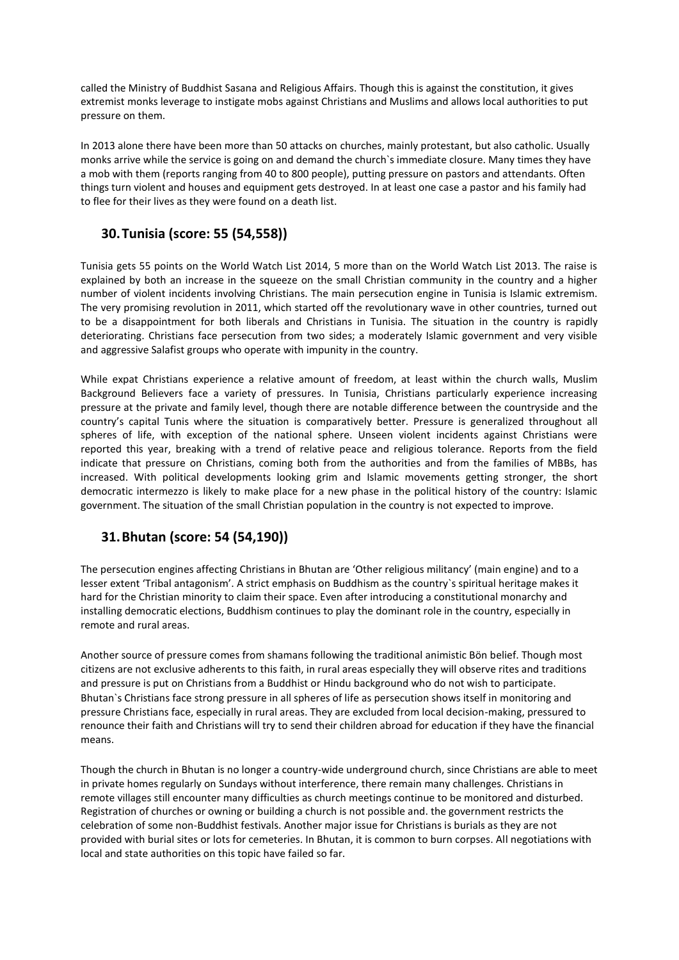called the Ministry of Buddhist Sasana and Religious Affairs. Though this is against the constitution, it gives extremist monks leverage to instigate mobs against Christians and Muslims and allows local authorities to put pressure on them.

In 2013 alone there have been more than 50 attacks on churches, mainly protestant, but also catholic. Usually monks arrive while the service is going on and demand the church`s immediate closure. Many times they have a mob with them (reports ranging from 40 to 800 people), putting pressure on pastors and attendants. Often things turn violent and houses and equipment gets destroyed. In at least one case a pastor and his family had to flee for their lives as they were found on a death list.

## **30.Tunisia (score: 55 (54,558))**

Tunisia gets 55 points on the World Watch List 2014, 5 more than on the World Watch List 2013. The raise is explained by both an increase in the squeeze on the small Christian community in the country and a higher number of violent incidents involving Christians. The main persecution engine in Tunisia is Islamic extremism. The very promising revolution in 2011, which started off the revolutionary wave in other countries, turned out to be a disappointment for both liberals and Christians in Tunisia. The situation in the country is rapidly deteriorating. Christians face persecution from two sides; a moderately Islamic government and very visible and aggressive Salafist groups who operate with impunity in the country.

While expat Christians experience a relative amount of freedom, at least within the church walls, Muslim Background Believers face a variety of pressures. In Tunisia, Christians particularly experience increasing pressure at the private and family level, though there are notable difference between the countryside and the country's capital Tunis where the situation is comparatively better. Pressure is generalized throughout all spheres of life, with exception of the national sphere. Unseen violent incidents against Christians were reported this year, breaking with a trend of relative peace and religious tolerance. Reports from the field indicate that pressure on Christians, coming both from the authorities and from the families of MBBs, has increased. With political developments looking grim and Islamic movements getting stronger, the short democratic intermezzo is likely to make place for a new phase in the political history of the country: Islamic government. The situation of the small Christian population in the country is not expected to improve.

#### **31.Bhutan (score: 54 (54,190))**

The persecution engines affecting Christians in Bhutan are 'Other religious militancy' (main engine) and to a lesser extent 'Tribal antagonism'. A strict emphasis on Buddhism as the country`s spiritual heritage makes it hard for the Christian minority to claim their space. Even after introducing a constitutional monarchy and installing democratic elections, Buddhism continues to play the dominant role in the country, especially in remote and rural areas.

Another source of pressure comes from shamans following the traditional animistic Bön belief. Though most citizens are not exclusive adherents to this faith, in rural areas especially they will observe rites and traditions and pressure is put on Christians from a Buddhist or Hindu background who do not wish to participate. Bhutan`s Christians face strong pressure in all spheres of life as persecution shows itself in monitoring and pressure Christians face, especially in rural areas. They are excluded from local decision-making, pressured to renounce their faith and Christians will try to send their children abroad for education if they have the financial means.

Though the church in Bhutan is no longer a country-wide underground church, since Christians are able to meet in private homes regularly on Sundays without interference, there remain many challenges. Christians in remote villages still encounter many difficulties as church meetings continue to be monitored and disturbed. Registration of churches or owning or building a church is not possible and. the government restricts the celebration of some non-Buddhist festivals. Another major issue for Christians is burials as they are not provided with burial sites or lots for cemeteries. In Bhutan, it is common to burn corpses. All negotiations with local and state authorities on this topic have failed so far.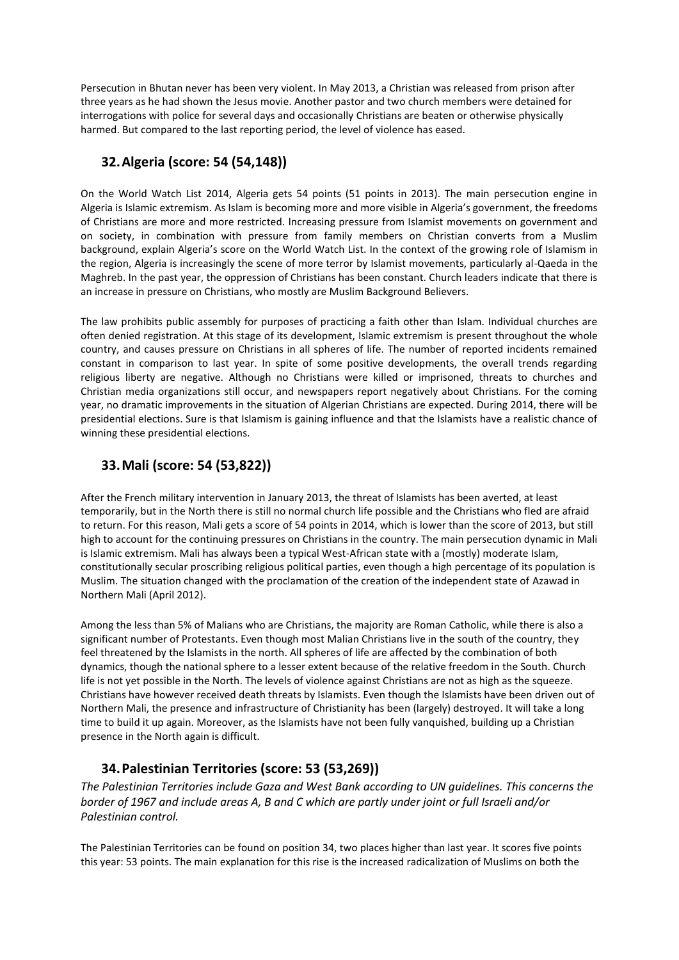Persecution in Bhutan never has been very violent. In May 2013, a Christian was released from prison after three years as he had shown the Jesus movie. Another pastor and two church members were detained for interrogations with police for several days and occasionally Christians are beaten or otherwise physically harmed. But compared to the last reporting period, the level of violence has eased.

#### **32.Algeria (score: 54 (54,148))**

On the World Watch List 2014, Algeria gets 54 points (51 points in 2013). The main persecution engine in Algeria is Islamic extremism. As Islam is becoming more and more visible in Algeria's government, the freedoms of Christians are more and more restricted. Increasing pressure from Islamist movements on government and on society, in combination with pressure from family members on Christian converts from a Muslim background, explain Algeria's score on the World Watch List. In the context of the growing role of Islamism in the region, Algeria is increasingly the scene of more terror by Islamist movements, particularly al-Qaeda in the Maghreb. In the past year, the oppression of Christians has been constant. Church leaders indicate that there is an increase in pressure on Christians, who mostly are Muslim Background Believers.

The law prohibits public assembly for purposes of practicing a faith other than Islam. Individual churches are often denied registration. At this stage of its development, Islamic extremism is present throughout the whole country, and causes pressure on Christians in all spheres of life. The number of reported incidents remained constant in comparison to last year. In spite of some positive developments, the overall trends regarding religious liberty are negative. Although no Christians were killed or imprisoned, threats to churches and Christian media organizations still occur, and newspapers report negatively about Christians. For the coming year, no dramatic improvements in the situation of Algerian Christians are expected. During 2014, there will be presidential elections. Sure is that Islamism is gaining influence and that the Islamists have a realistic chance of winning these presidential elections.

#### **33.Mali (score: 54 (53,822))**

After the French military intervention in January 2013, the threat of Islamists has been averted, at least temporarily, but in the North there is still no normal church life possible and the Christians who fled are afraid to return. For this reason, Mali gets a score of 54 points in 2014, which is lower than the score of 2013, but still high to account for the continuing pressures on Christians in the country. The main persecution dynamic in Mali is Islamic extremism. Mali has always been a typical West-African state with a (mostly) moderate Islam, constitutionally secular proscribing religious political parties, even though a high percentage of its population is Muslim. The situation changed with the proclamation of the creation of the independent state of Azawad in Northern Mali (April 2012).

Among the less than 5% of Malians who are Christians, the majority are Roman Catholic, while there is also a significant number of Protestants. Even though most Malian Christians live in the south of the country, they feel threatened by the Islamists in the north. All spheres of life are affected by the combination of both dynamics, though the national sphere to a lesser extent because of the relative freedom in the South. Church life is not yet possible in the North. The levels of violence against Christians are not as high as the squeeze. Christians have however received death threats by Islamists. Even though the Islamists have been driven out of Northern Mali, the presence and infrastructure of Christianity has been (largely) destroyed. It will take a long time to build it up again. Moreover, as the Islamists have not been fully vanquished, building up a Christian presence in the North again is difficult.

## **34.Palestinian Territories (score: 53 (53,269))**

*The Palestinian Territories include Gaza and West Bank according to UN guidelines. This concerns the border of 1967 and include areas A, B and C which are partly under joint or full Israeli and/or Palestinian control.*

The Palestinian Territories can be found on position 34, two places higher than last year. It scores five points this year: 53 points. The main explanation for this rise is the increased radicalization of Muslims on both the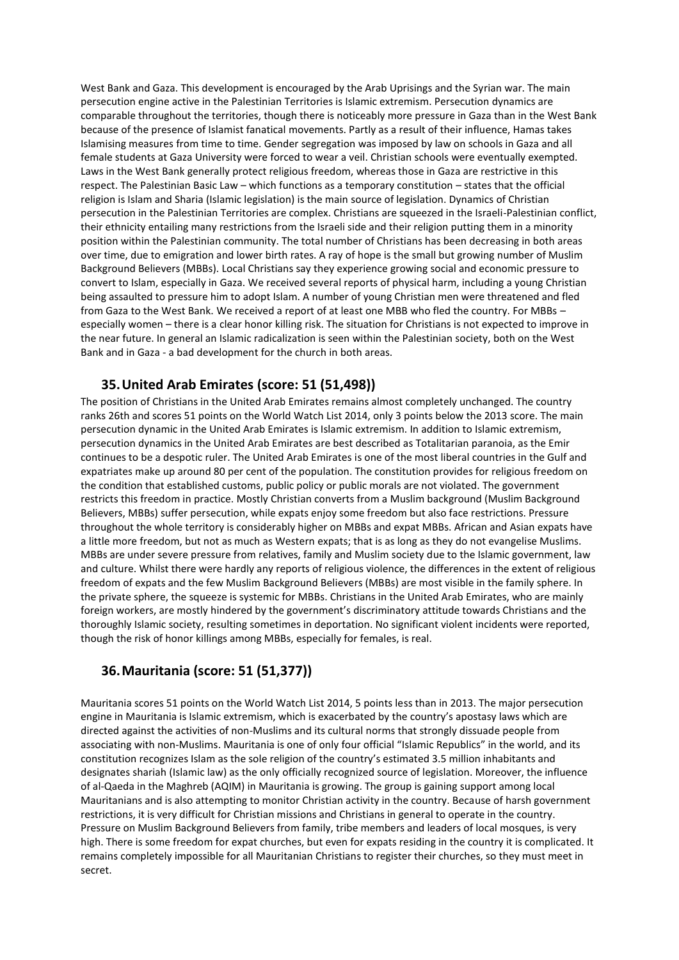West Bank and Gaza. This development is encouraged by the Arab Uprisings and the Syrian war. The main persecution engine active in the Palestinian Territories is Islamic extremism. Persecution dynamics are comparable throughout the territories, though there is noticeably more pressure in Gaza than in the West Bank because of the presence of Islamist fanatical movements. Partly as a result of their influence, Hamas takes Islamising measures from time to time. Gender segregation was imposed by law on schools in Gaza and all female students at Gaza University were forced to wear a veil. Christian schools were eventually exempted. Laws in the West Bank generally protect religious freedom, whereas those in Gaza are restrictive in this respect. The Palestinian Basic Law – which functions as a temporary constitution – states that the official religion is Islam and Sharia (Islamic legislation) is the main source of legislation. Dynamics of Christian persecution in the Palestinian Territories are complex. Christians are squeezed in the Israeli-Palestinian conflict, their ethnicity entailing many restrictions from the Israeli side and their religion putting them in a minority position within the Palestinian community. The total number of Christians has been decreasing in both areas over time, due to emigration and lower birth rates. A ray of hope is the small but growing number of Muslim Background Believers (MBBs). Local Christians say they experience growing social and economic pressure to convert to Islam, especially in Gaza. We received several reports of physical harm, including a young Christian being assaulted to pressure him to adopt Islam. A number of young Christian men were threatened and fled from Gaza to the West Bank. We received a report of at least one MBB who fled the country. For MBBs – especially women – there is a clear honor killing risk. The situation for Christians is not expected to improve in the near future. In general an Islamic radicalization is seen within the Palestinian society, both on the West Bank and in Gaza - a bad development for the church in both areas.

#### **35.United Arab Emirates (score: 51 (51,498))**

The position of Christians in the United Arab Emirates remains almost completely unchanged. The country ranks 26th and scores 51 points on the World Watch List 2014, only 3 points below the 2013 score. The main persecution dynamic in the United Arab Emirates is Islamic extremism. In addition to Islamic extremism, persecution dynamics in the United Arab Emirates are best described as Totalitarian paranoia, as the Emir continues to be a despotic ruler. The United Arab Emirates is one of the most liberal countries in the Gulf and expatriates make up around 80 per cent of the population. The constitution provides for religious freedom on the condition that established customs, public policy or public morals are not violated. The government restricts this freedom in practice. Mostly Christian converts from a Muslim background (Muslim Background Believers, MBBs) suffer persecution, while expats enjoy some freedom but also face restrictions. Pressure throughout the whole territory is considerably higher on MBBs and expat MBBs. African and Asian expats have a little more freedom, but not as much as Western expats; that is as long as they do not evangelise Muslims. MBBs are under severe pressure from relatives, family and Muslim society due to the Islamic government, law and culture. Whilst there were hardly any reports of religious violence, the differences in the extent of religious freedom of expats and the few Muslim Background Believers (MBBs) are most visible in the family sphere. In the private sphere, the squeeze is systemic for MBBs. Christians in the United Arab Emirates, who are mainly foreign workers, are mostly hindered by the government's discriminatory attitude towards Christians and the thoroughly Islamic society, resulting sometimes in deportation. No significant violent incidents were reported, though the risk of honor killings among MBBs, especially for females, is real.

#### **36.Mauritania (score: 51 (51,377))**

Mauritania scores 51 points on the World Watch List 2014, 5 points less than in 2013. The major persecution engine in Mauritania is Islamic extremism, which is exacerbated by the country's apostasy laws which are directed against the activities of non-Muslims and its cultural norms that strongly dissuade people from associating with non-Muslims. Mauritania is one of only four official "Islamic Republics" in the world, and its constitution recognizes Islam as the sole religion of the country's estimated 3.5 million inhabitants and designates shariah (Islamic law) as the only officially recognized source of legislation. Moreover, the influence of al-Qaeda in the Maghreb (AQIM) in Mauritania is growing. The group is gaining support among local Mauritanians and is also attempting to monitor Christian activity in the country. Because of harsh government restrictions, it is very difficult for Christian missions and Christians in general to operate in the country. Pressure on Muslim Background Believers from family, tribe members and leaders of local mosques, is very high. There is some freedom for expat churches, but even for expats residing in the country it is complicated. It remains completely impossible for all Mauritanian Christians to register their churches, so they must meet in secret.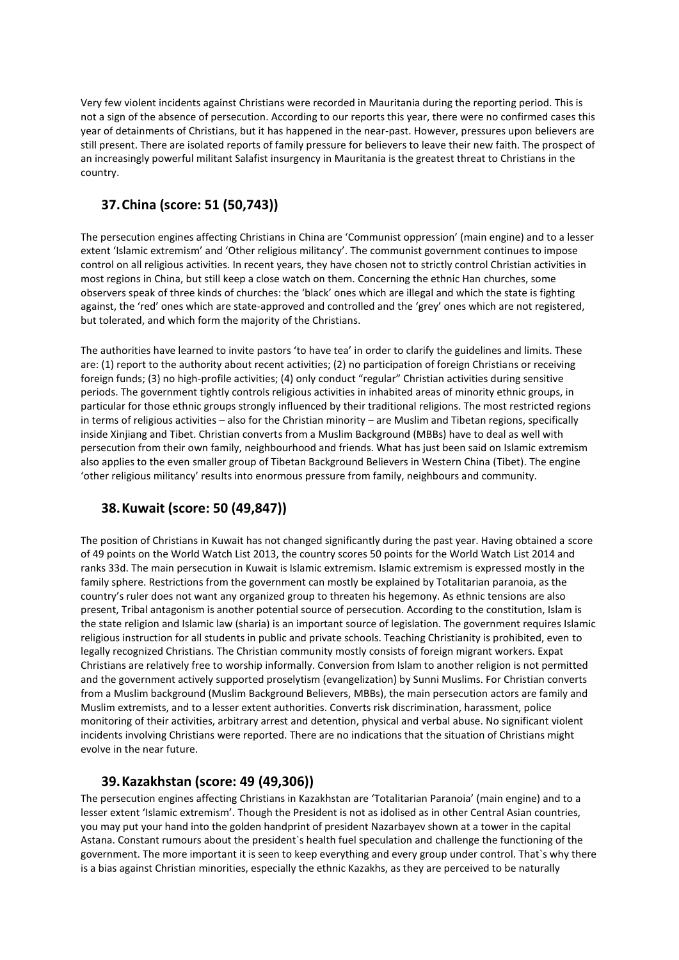Very few violent incidents against Christians were recorded in Mauritania during the reporting period. This is not a sign of the absence of persecution. According to our reports this year, there were no confirmed cases this year of detainments of Christians, but it has happened in the near-past. However, pressures upon believers are still present. There are isolated reports of family pressure for believers to leave their new faith. The prospect of an increasingly powerful militant Salafist insurgency in Mauritania is the greatest threat to Christians in the country.

## **37.China (score: 51 (50,743))**

The persecution engines affecting Christians in China are 'Communist oppression' (main engine) and to a lesser extent 'Islamic extremism' and 'Other religious militancy'. The communist government continues to impose control on all religious activities. In recent years, they have chosen not to strictly control Christian activities in most regions in China, but still keep a close watch on them. Concerning the ethnic Han churches, some observers speak of three kinds of churches: the 'black' ones which are illegal and which the state is fighting against, the 'red' ones which are state-approved and controlled and the 'grey' ones which are not registered, but tolerated, and which form the majority of the Christians.

The authorities have learned to invite pastors 'to have tea' in order to clarify the guidelines and limits. These are: (1) report to the authority about recent activities; (2) no participation of foreign Christians or receiving foreign funds; (3) no high-profile activities; (4) only conduct "regular" Christian activities during sensitive periods. The government tightly controls religious activities in inhabited areas of minority ethnic groups, in particular for those ethnic groups strongly influenced by their traditional religions. The most restricted regions in terms of religious activities – also for the Christian minority – are Muslim and Tibetan regions, specifically inside Xinjiang and Tibet. Christian converts from a Muslim Background (MBBs) have to deal as well with persecution from their own family, neighbourhood and friends. What has just been said on Islamic extremism also applies to the even smaller group of Tibetan Background Believers in Western China (Tibet). The engine 'other religious militancy' results into enormous pressure from family, neighbours and community.

#### **38.Kuwait (score: 50 (49,847))**

The position of Christians in Kuwait has not changed significantly during the past year. Having obtained a score of 49 points on the World Watch List 2013, the country scores 50 points for the World Watch List 2014 and ranks 33d. The main persecution in Kuwait is Islamic extremism. Islamic extremism is expressed mostly in the family sphere. Restrictions from the government can mostly be explained by Totalitarian paranoia, as the country's ruler does not want any organized group to threaten his hegemony. As ethnic tensions are also present, Tribal antagonism is another potential source of persecution. According to the constitution, Islam is the state religion and Islamic law (sharia) is an important source of legislation. The government requires Islamic religious instruction for all students in public and private schools. Teaching Christianity is prohibited, even to legally recognized Christians. The Christian community mostly consists of foreign migrant workers. Expat Christians are relatively free to worship informally. Conversion from Islam to another religion is not permitted and the government actively supported proselytism (evangelization) by Sunni Muslims. For Christian converts from a Muslim background (Muslim Background Believers, MBBs), the main persecution actors are family and Muslim extremists, and to a lesser extent authorities. Converts risk discrimination, harassment, police monitoring of their activities, arbitrary arrest and detention, physical and verbal abuse. No significant violent incidents involving Christians were reported. There are no indications that the situation of Christians might evolve in the near future.

#### **39.Kazakhstan (score: 49 (49,306))**

The persecution engines affecting Christians in Kazakhstan are 'Totalitarian Paranoia' (main engine) and to a lesser extent 'Islamic extremism'. Though the President is not as idolised as in other Central Asian countries, you may put your hand into the golden handprint of president Nazarbayev shown at a tower in the capital Astana. Constant rumours about the president`s health fuel speculation and challenge the functioning of the government. The more important it is seen to keep everything and every group under control. That`s why there is a bias against Christian minorities, especially the ethnic Kazakhs, as they are perceived to be naturally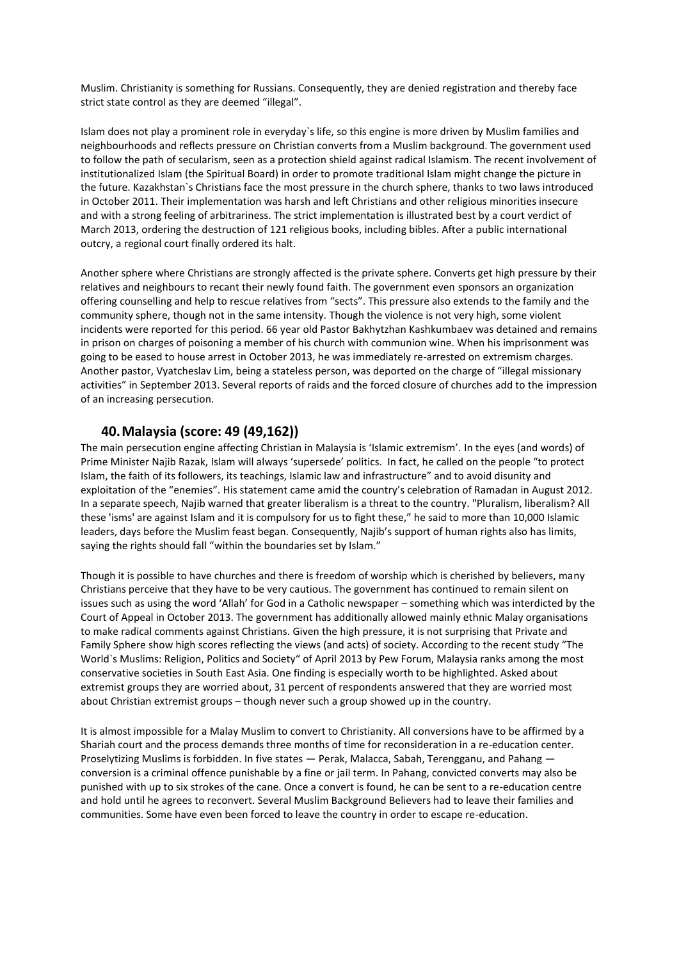Muslim. Christianity is something for Russians. Consequently, they are denied registration and thereby face strict state control as they are deemed "illegal".

Islam does not play a prominent role in everyday`s life, so this engine is more driven by Muslim families and neighbourhoods and reflects pressure on Christian converts from a Muslim background. The government used to follow the path of secularism, seen as a protection shield against radical Islamism. The recent involvement of institutionalized Islam (the Spiritual Board) in order to promote traditional Islam might change the picture in the future. Kazakhstan`s Christians face the most pressure in the church sphere, thanks to two laws introduced in October 2011. Their implementation was harsh and left Christians and other religious minorities insecure and with a strong feeling of arbitrariness. The strict implementation is illustrated best by a court verdict of March 2013, ordering the destruction of 121 religious books, including bibles. After a public international outcry, a regional court finally ordered its halt.

Another sphere where Christians are strongly affected is the private sphere. Converts get high pressure by their relatives and neighbours to recant their newly found faith. The government even sponsors an organization offering counselling and help to rescue relatives from "sects". This pressure also extends to the family and the community sphere, though not in the same intensity. Though the violence is not very high, some violent incidents were reported for this period. 66 year old Pastor Bakhytzhan Kashkumbaev was detained and remains in prison on charges of poisoning a member of his church with communion wine. When his imprisonment was going to be eased to house arrest in October 2013, he was immediately re-arrested on extremism charges. Another pastor, Vyatcheslav Lim, being a stateless person, was deported on the charge of "illegal missionary activities" in September 2013. Several reports of raids and the forced closure of churches add to the impression of an increasing persecution.

#### **40.Malaysia (score: 49 (49,162))**

The main persecution engine affecting Christian in Malaysia is 'Islamic extremism'. In the eyes (and words) of Prime Minister Najib Razak, Islam will always 'supersede' politics. In fact, he called on the people "to protect Islam, the faith of its followers, its teachings, Islamic law and infrastructure" and to avoid disunity and exploitation of the "enemies". His statement came amid the country's celebration of Ramadan in August 2012. In a separate speech, Najib warned that greater liberalism is a threat to the country. "Pluralism, liberalism? All these 'isms' are against Islam and it is compulsory for us to fight these," he said to more than 10,000 Islamic leaders, days before the Muslim feast began. Consequently, Najib's support of human rights also has limits, saying the rights should fall "within the boundaries set by Islam."

Though it is possible to have churches and there is freedom of worship which is cherished by believers, many Christians perceive that they have to be very cautious. The government has continued to remain silent on issues such as using the word 'Allah' for God in a Catholic newspaper – something which was interdicted by the Court of Appeal in October 2013. The government has additionally allowed mainly ethnic Malay organisations to make radical comments against Christians. Given the high pressure, it is not surprising that Private and Family Sphere show high scores reflecting the views (and acts) of society. According to the recent study "The World`s Muslims: Religion, Politics and Society" of April 2013 by Pew Forum, Malaysia ranks among the most conservative societies in South East Asia. One finding is especially worth to be highlighted. Asked about extremist groups they are worried about, 31 percent of respondents answered that they are worried most about Christian extremist groups – though never such a group showed up in the country.

It is almost impossible for a Malay Muslim to convert to Christianity. All conversions have to be affirmed by a Shariah court and the process demands three months of time for reconsideration in a re-education center. Proselytizing Muslims is forbidden. In five states — Perak, Malacca, Sabah, Terengganu, and Pahang conversion is a criminal offence punishable by a fine or jail term. In Pahang, convicted converts may also be punished with up to six strokes of the cane. Once a convert is found, he can be sent to a re-education centre and hold until he agrees to reconvert. Several Muslim Background Believers had to leave their families and communities. Some have even been forced to leave the country in order to escape re-education.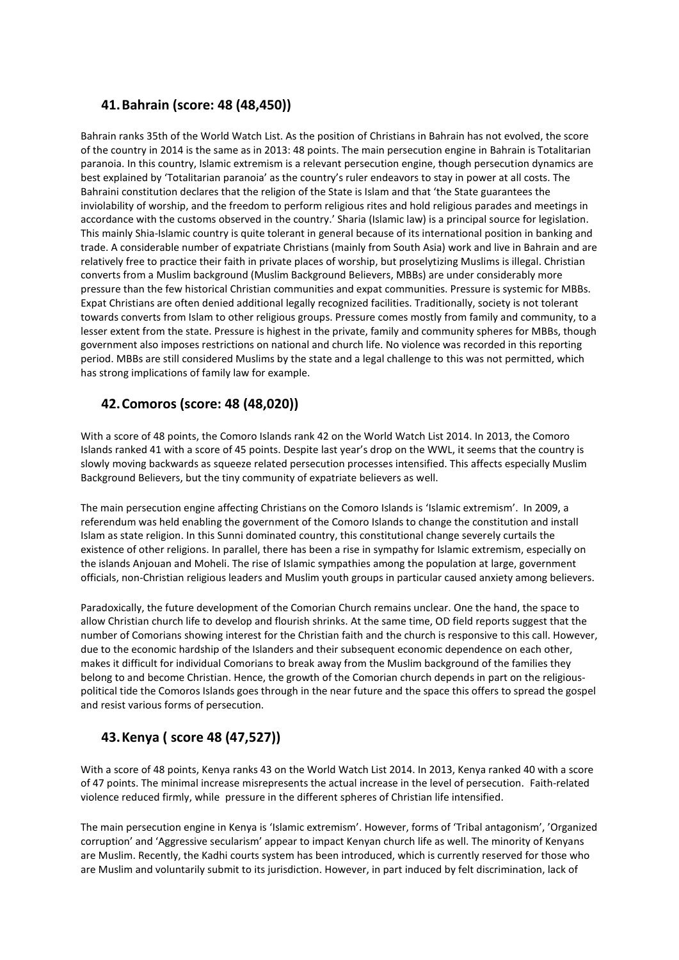#### **41.Bahrain (score: 48 (48,450))**

Bahrain ranks 35th of the World Watch List. As the position of Christians in Bahrain has not evolved, the score of the country in 2014 is the same as in 2013: 48 points. The main persecution engine in Bahrain is Totalitarian paranoia. In this country, Islamic extremism is a relevant persecution engine, though persecution dynamics are best explained by 'Totalitarian paranoia' as the country's ruler endeavors to stay in power at all costs. The Bahraini constitution declares that the religion of the State is Islam and that 'the State guarantees the inviolability of worship, and the freedom to perform religious rites and hold religious parades and meetings in accordance with the customs observed in the country.' Sharia (Islamic law) is a principal source for legislation. This mainly Shia-Islamic country is quite tolerant in general because of its international position in banking and trade. A considerable number of expatriate Christians (mainly from South Asia) work and live in Bahrain and are relatively free to practice their faith in private places of worship, but proselytizing Muslims is illegal. Christian converts from a Muslim background (Muslim Background Believers, MBBs) are under considerably more pressure than the few historical Christian communities and expat communities. Pressure is systemic for MBBs. Expat Christians are often denied additional legally recognized facilities. Traditionally, society is not tolerant towards converts from Islam to other religious groups. Pressure comes mostly from family and community, to a lesser extent from the state. Pressure is highest in the private, family and community spheres for MBBs, though government also imposes restrictions on national and church life. No violence was recorded in this reporting period. MBBs are still considered Muslims by the state and a legal challenge to this was not permitted, which has strong implications of family law for example.

#### **42.Comoros (score: 48 (48,020))**

With a score of 48 points, the Comoro Islands rank 42 on the World Watch List 2014. In 2013, the Comoro Islands ranked 41 with a score of 45 points. Despite last year's drop on the WWL, it seems that the country is slowly moving backwards as squeeze related persecution processes intensified. This affects especially Muslim Background Believers, but the tiny community of expatriate believers as well.

The main persecution engine affecting Christians on the Comoro Islands is 'Islamic extremism'. In 2009, a referendum was held enabling the government of the Comoro Islands to change the constitution and install Islam as state religion. In this Sunni dominated country, this constitutional change severely curtails the existence of other religions. In parallel, there has been a rise in sympathy for Islamic extremism, especially on the islands Anjouan and Moheli. The rise of Islamic sympathies among the population at large, government officials, non-Christian religious leaders and Muslim youth groups in particular caused anxiety among believers.

Paradoxically, the future development of the Comorian Church remains unclear. One the hand, the space to allow Christian church life to develop and flourish shrinks. At the same time, OD field reports suggest that the number of Comorians showing interest for the Christian faith and the church is responsive to this call. However, due to the economic hardship of the Islanders and their subsequent economic dependence on each other, makes it difficult for individual Comorians to break away from the Muslim background of the families they belong to and become Christian. Hence, the growth of the Comorian church depends in part on the religiouspolitical tide the Comoros Islands goes through in the near future and the space this offers to spread the gospel and resist various forms of persecution.

# **43.Kenya ( score 48 (47,527))**

With a score of 48 points, Kenya ranks 43 on the World Watch List 2014. In 2013, Kenya ranked 40 with a score of 47 points. The minimal increase misrepresents the actual increase in the level of persecution. Faith-related violence reduced firmly, while pressure in the different spheres of Christian life intensified.

The main persecution engine in Kenya is 'Islamic extremism'. However, forms of 'Tribal antagonism', 'Organized corruption' and 'Aggressive secularism' appear to impact Kenyan church life as well. The minority of Kenyans are Muslim. Recently, the Kadhi courts system has been introduced, which is currently reserved for those who are Muslim and voluntarily submit to its jurisdiction. However, in part induced by felt discrimination, lack of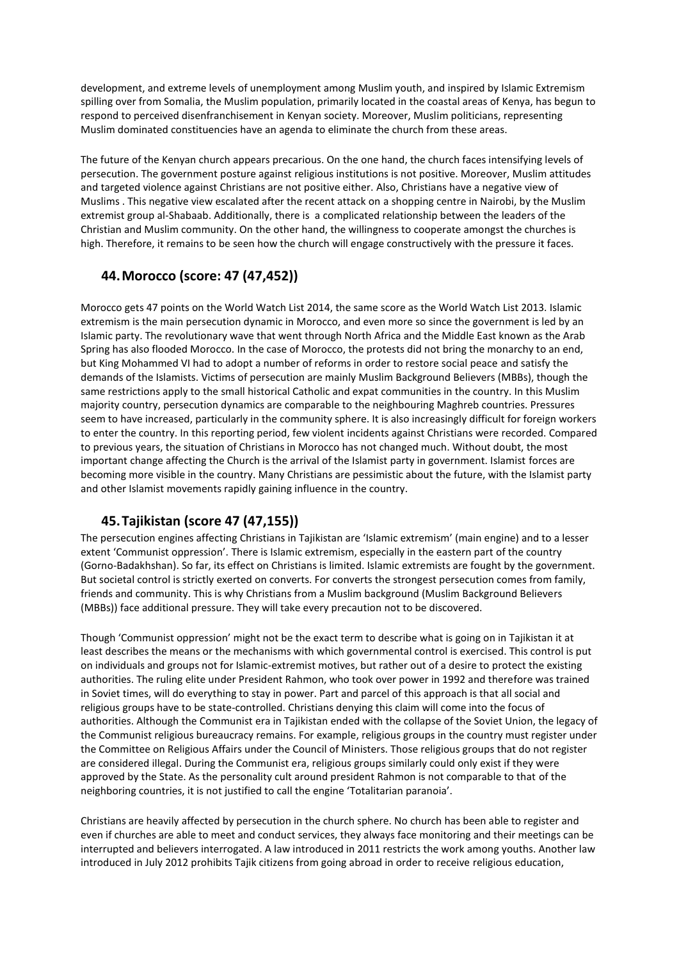development, and extreme levels of unemployment among Muslim youth, and inspired by Islamic Extremism spilling over from Somalia, the Muslim population, primarily located in the coastal areas of Kenya, has begun to respond to perceived disenfranchisement in Kenyan society. Moreover, Muslim politicians, representing Muslim dominated constituencies have an agenda to eliminate the church from these areas.

The future of the Kenyan church appears precarious. On the one hand, the church faces intensifying levels of persecution. The government posture against religious institutions is not positive. Moreover, Muslim attitudes and targeted violence against Christians are not positive either. Also, Christians have a negative view of Muslims . This negative view escalated after the recent attack on a shopping centre in Nairobi, by the Muslim extremist group al-Shabaab. Additionally, there is a complicated relationship between the leaders of the Christian and Muslim community. On the other hand, the willingness to cooperate amongst the churches is high. Therefore, it remains to be seen how the church will engage constructively with the pressure it faces.

#### **44.Morocco (score: 47 (47,452))**

Morocco gets 47 points on the World Watch List 2014, the same score as the World Watch List 2013. Islamic extremism is the main persecution dynamic in Morocco, and even more so since the government is led by an Islamic party. The revolutionary wave that went through North Africa and the Middle East known as the Arab Spring has also flooded Morocco. In the case of Morocco, the protests did not bring the monarchy to an end, but King Mohammed VI had to adopt a number of reforms in order to restore social peace and satisfy the demands of the Islamists. Victims of persecution are mainly Muslim Background Believers (MBBs), though the same restrictions apply to the small historical Catholic and expat communities in the country. In this Muslim majority country, persecution dynamics are comparable to the neighbouring Maghreb countries. Pressures seem to have increased, particularly in the community sphere. It is also increasingly difficult for foreign workers to enter the country. In this reporting period, few violent incidents against Christians were recorded. Compared to previous years, the situation of Christians in Morocco has not changed much. Without doubt, the most important change affecting the Church is the arrival of the Islamist party in government. Islamist forces are becoming more visible in the country. Many Christians are pessimistic about the future, with the Islamist party and other Islamist movements rapidly gaining influence in the country.

## **45.Tajikistan (score 47 (47,155))**

The persecution engines affecting Christians in Tajikistan are 'Islamic extremism' (main engine) and to a lesser extent 'Communist oppression'. There is Islamic extremism, especially in the eastern part of the country (Gorno-Badakhshan). So far, its effect on Christians is limited. Islamic extremists are fought by the government. But societal control is strictly exerted on converts. For converts the strongest persecution comes from family, friends and community. This is why Christians from a Muslim background (Muslim Background Believers (MBBs)) face additional pressure. They will take every precaution not to be discovered.

Though 'Communist oppression' might not be the exact term to describe what is going on in Tajikistan it at least describes the means or the mechanisms with which governmental control is exercised. This control is put on individuals and groups not for Islamic-extremist motives, but rather out of a desire to protect the existing authorities. The ruling elite under President Rahmon, who took over power in 1992 and therefore was trained in Soviet times, will do everything to stay in power. Part and parcel of this approach is that all social and religious groups have to be state-controlled. Christians denying this claim will come into the focus of authorities. Although the Communist era in Tajikistan ended with the collapse of the Soviet Union, the legacy of the Communist religious bureaucracy remains. For example, religious groups in the country must register under the Committee on Religious Affairs under the Council of Ministers. Those religious groups that do not register are considered illegal. During the Communist era, religious groups similarly could only exist if they were approved by the State. As the personality cult around president Rahmon is not comparable to that of the neighboring countries, it is not justified to call the engine 'Totalitarian paranoia'.

Christians are heavily affected by persecution in the church sphere. No church has been able to register and even if churches are able to meet and conduct services, they always face monitoring and their meetings can be interrupted and believers interrogated. A law introduced in 2011 restricts the work among youths. Another law introduced in July 2012 prohibits Tajik citizens from going abroad in order to receive religious education,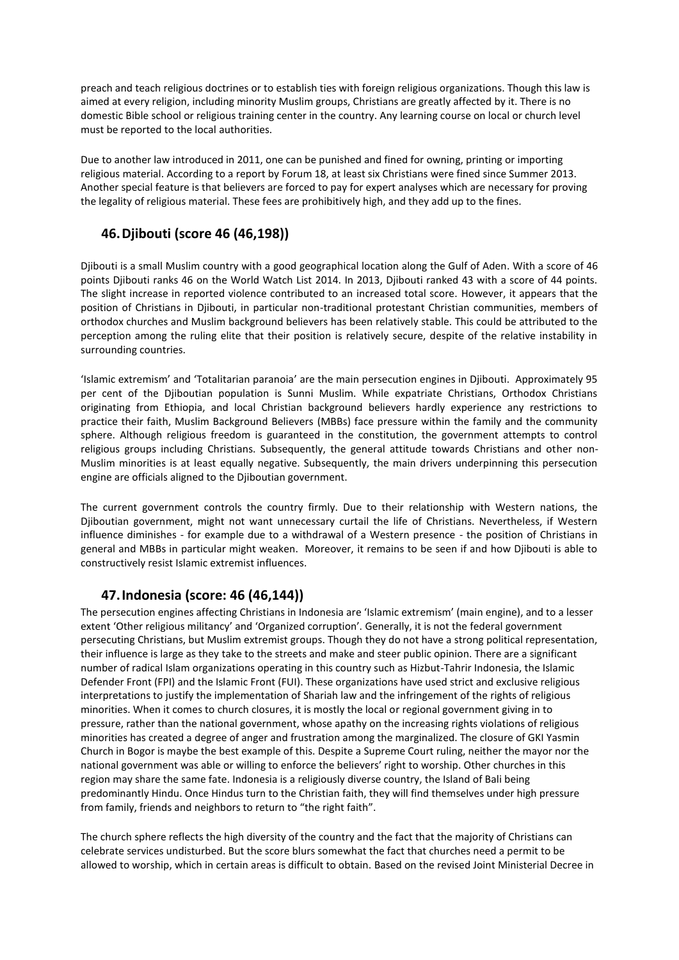preach and teach religious doctrines or to establish ties with foreign religious organizations. Though this law is aimed at every religion, including minority Muslim groups, Christians are greatly affected by it. There is no domestic Bible school or religious training center in the country. Any learning course on local or church level must be reported to the local authorities.

Due to another law introduced in 2011, one can be punished and fined for owning, printing or importing religious material. According to a report by Forum 18, at least six Christians were fined since Summer 2013. Another special feature is that believers are forced to pay for expert analyses which are necessary for proving the legality of religious material. These fees are prohibitively high, and they add up to the fines.

#### **46.Djibouti (score 46 (46,198))**

Djibouti is a small Muslim country with a good geographical location along the Gulf of Aden. With a score of 46 points Djibouti ranks 46 on the World Watch List 2014. In 2013, Djibouti ranked 43 with a score of 44 points. The slight increase in reported violence contributed to an increased total score. However, it appears that the position of Christians in Djibouti, in particular non-traditional protestant Christian communities, members of orthodox churches and Muslim background believers has been relatively stable. This could be attributed to the perception among the ruling elite that their position is relatively secure, despite of the relative instability in surrounding countries.

'Islamic extremism' and 'Totalitarian paranoia' are the main persecution engines in Djibouti. Approximately 95 per cent of the Djiboutian population is Sunni Muslim. While expatriate Christians, Orthodox Christians originating from Ethiopia, and local Christian background believers hardly experience any restrictions to practice their faith, Muslim Background Believers (MBBs) face pressure within the family and the community sphere. Although religious freedom is guaranteed in the constitution, the government attempts to control religious groups including Christians. Subsequently, the general attitude towards Christians and other non-Muslim minorities is at least equally negative. Subsequently, the main drivers underpinning this persecution engine are officials aligned to the Djiboutian government.

The current government controls the country firmly. Due to their relationship with Western nations, the Djiboutian government, might not want unnecessary curtail the life of Christians. Nevertheless, if Western influence diminishes - for example due to a withdrawal of a Western presence - the position of Christians in general and MBBs in particular might weaken. Moreover, it remains to be seen if and how Djibouti is able to constructively resist Islamic extremist influences.

#### **47.Indonesia (score: 46 (46,144))**

The persecution engines affecting Christians in Indonesia are 'Islamic extremism' (main engine), and to a lesser extent 'Other religious militancy' and 'Organized corruption'. Generally, it is not the federal government persecuting Christians, but Muslim extremist groups. Though they do not have a strong political representation, their influence is large as they take to the streets and make and steer public opinion. There are a significant number of radical Islam organizations operating in this country such as Hizbut-Tahrir Indonesia, the Islamic Defender Front (FPI) and the Islamic Front (FUI). These organizations have used strict and exclusive religious interpretations to justify the implementation of Shariah law and the infringement of the rights of religious minorities. When it comes to church closures, it is mostly the local or regional government giving in to pressure, rather than the national government, whose apathy on the increasing rights violations of religious minorities has created a degree of anger and frustration among the marginalized. The closure of GKI Yasmin Church in Bogor is maybe the best example of this. Despite a Supreme Court ruling, neither the mayor nor the national government was able or willing to enforce the believers' right to worship. Other churches in this region may share the same fate. Indonesia is a religiously diverse country, the Island of Bali being predominantly Hindu. Once Hindus turn to the Christian faith, they will find themselves under high pressure from family, friends and neighbors to return to "the right faith".

The church sphere reflects the high diversity of the country and the fact that the majority of Christians can celebrate services undisturbed. But the score blurs somewhat the fact that churches need a permit to be allowed to worship, which in certain areas is difficult to obtain. Based on the revised Joint Ministerial Decree in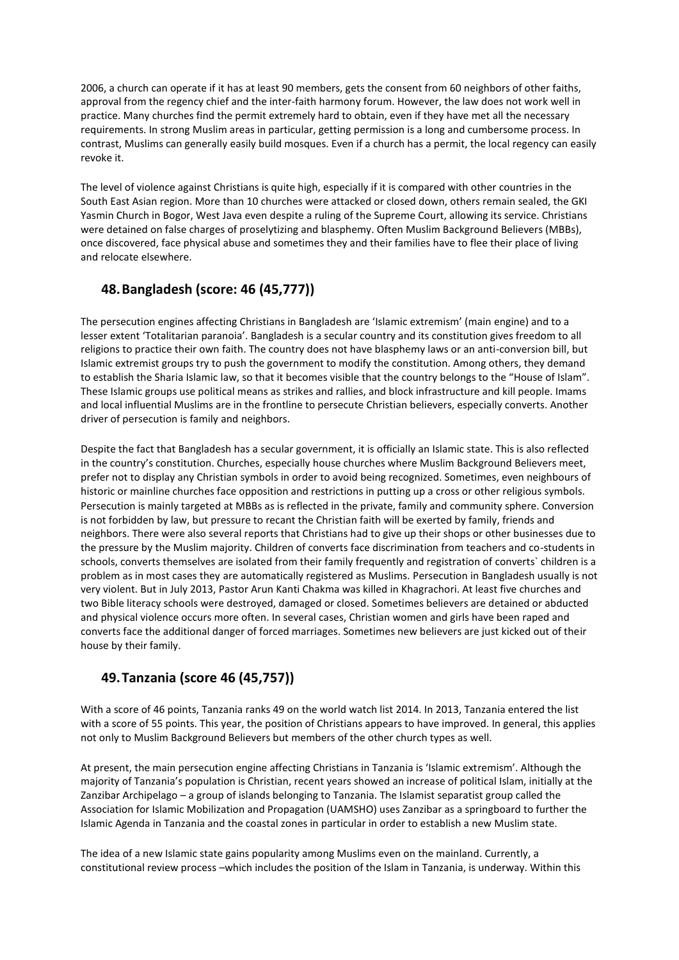2006, a church can operate if it has at least 90 members, gets the consent from 60 neighbors of other faiths, approval from the regency chief and the inter-faith harmony forum. However, the law does not work well in practice. Many churches find the permit extremely hard to obtain, even if they have met all the necessary requirements. In strong Muslim areas in particular, getting permission is a long and cumbersome process. In contrast, Muslims can generally easily build mosques. Even if a church has a permit, the local regency can easily revoke it.

The level of violence against Christians is quite high, especially if it is compared with other countries in the South East Asian region. More than 10 churches were attacked or closed down, others remain sealed, the GKI Yasmin Church in Bogor, West Java even despite a ruling of the Supreme Court, allowing its service. Christians were detained on false charges of proselytizing and blasphemy. Often Muslim Background Believers (MBBs), once discovered, face physical abuse and sometimes they and their families have to flee their place of living and relocate elsewhere.

#### **48.Bangladesh (score: 46 (45,777))**

The persecution engines affecting Christians in Bangladesh are 'Islamic extremism' (main engine) and to a lesser extent 'Totalitarian paranoia'. Bangladesh is a secular country and its constitution gives freedom to all religions to practice their own faith. The country does not have blasphemy laws or an anti-conversion bill, but Islamic extremist groups try to push the government to modify the constitution. Among others, they demand to establish the Sharia Islamic law, so that it becomes visible that the country belongs to the "House of Islam". These Islamic groups use political means as strikes and rallies, and block infrastructure and kill people. Imams and local influential Muslims are in the frontline to persecute Christian believers, especially converts. Another driver of persecution is family and neighbors.

Despite the fact that Bangladesh has a secular government, it is officially an Islamic state. This is also reflected in the country's constitution. Churches, especially house churches where Muslim Background Believers meet, prefer not to display any Christian symbols in order to avoid being recognized. Sometimes, even neighbours of historic or mainline churches face opposition and restrictions in putting up a cross or other religious symbols. Persecution is mainly targeted at MBBs as is reflected in the private, family and community sphere. Conversion is not forbidden by law, but pressure to recant the Christian faith will be exerted by family, friends and neighbors. There were also several reports that Christians had to give up their shops or other businesses due to the pressure by the Muslim majority. Children of converts face discrimination from teachers and co-students in schools, converts themselves are isolated from their family frequently and registration of converts` children is a problem as in most cases they are automatically registered as Muslims. Persecution in Bangladesh usually is not very violent. But in July 2013, Pastor Arun Kanti Chakma was killed in Khagrachori. At least five churches and two Bible literacy schools were destroyed, damaged or closed. Sometimes believers are detained or abducted and physical violence occurs more often. In several cases, Christian women and girls have been raped and converts face the additional danger of forced marriages. Sometimes new believers are just kicked out of their house by their family.

## **49.Tanzania (score 46 (45,757))**

With a score of 46 points, Tanzania ranks 49 on the world watch list 2014. In 2013, Tanzania entered the list with a score of 55 points. This year, the position of Christians appears to have improved. In general, this applies not only to Muslim Background Believers but members of the other church types as well.

At present, the main persecution engine affecting Christians in Tanzania is 'Islamic extremism'. Although the majority of Tanzania's population is Christian, recent years showed an increase of political Islam, initially at the Zanzibar Archipelago – a group of islands belonging to Tanzania. The Islamist separatist group called the Association for Islamic Mobilization and Propagation (UAMSHO) uses Zanzibar as a springboard to further the Islamic Agenda in Tanzania and the coastal zones in particular in order to establish a new Muslim state.

The idea of a new Islamic state gains popularity among Muslims even on the mainland. Currently, a constitutional review process –which includes the position of the Islam in Tanzania, is underway. Within this